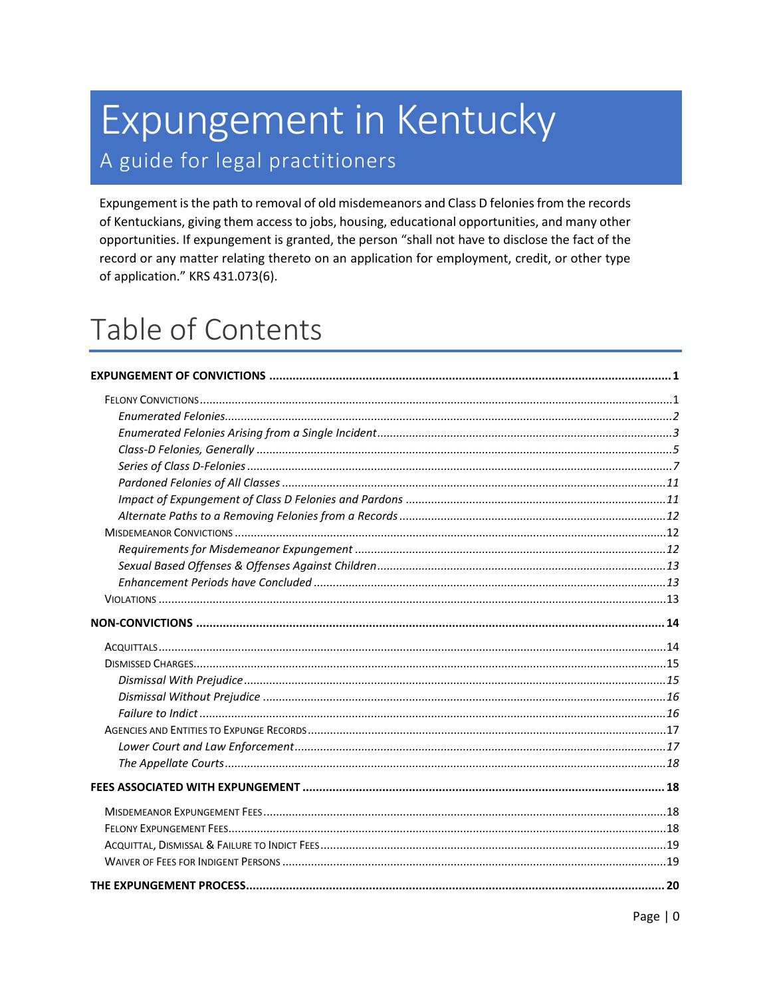# Expungement in Kentucky A guide for legal practitioners

Expungement is the path to removal of old misdemeanors and Class D felonies from the records of Kentuckians, giving them access to jobs, housing, educational opportunities, and many other opportunities. If expungement is granted, the person "shall not have to disclose the fact of the record or any matter relating thereto on an application for employment, credit, or other type of application." KRS 431.073(6).

# Table of Contents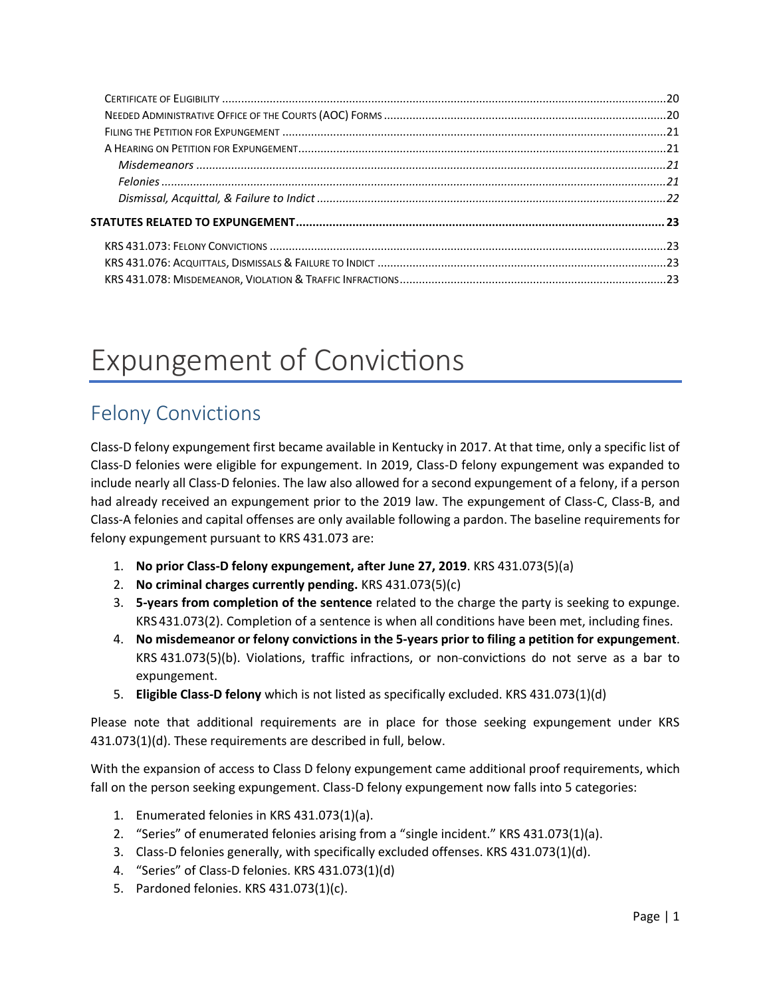# <span id="page-1-0"></span>Expungement of Convictions

# <span id="page-1-1"></span>Felony Convictions

Class-D felony expungement first became available in Kentucky in 2017. At that time, only a specific list of Class-D felonies were eligible for expungement. In 2019, Class-D felony expungement was expanded to include nearly all Class-D felonies. The law also allowed for a second expungement of a felony, if a person had already received an expungement prior to the 2019 law. The expungement of Class-C, Class-B, and Class-A felonies and capital offenses are only available following a pardon. The baseline requirements for felony expungement pursuant to KRS 431.073 are:

- 1. **No prior Class-D felony expungement, after June 27, 2019**. KRS 431.073(5)(a)
- 2. **No criminal charges currently pending.** KRS 431.073(5)(c)
- 3. **5-years from completion of the sentence** related to the charge the party is seeking to expunge. KRS 431.073(2). Completion of a sentence is when all conditions have been met, including fines.
- 4. **No misdemeanor or felony convictions in the 5-years prior to filing a petition for expungement**. KRS 431.073(5)(b). Violations, traffic infractions, or non-convictions do not serve as a bar to expungement.
- 5. **Eligible Class-D felony** which is not listed as specifically excluded. KRS 431.073(1)(d)

Please note that additional requirements are in place for those seeking expungement under KRS 431.073(1)(d). These requirements are described in full, below.

With the expansion of access to Class D felony expungement came additional proof requirements, which fall on the person seeking expungement. Class-D felony expungement now falls into 5 categories:

- 1. Enumerated felonies in KRS 431.073(1)(a).
- 2. "Series" of enumerated felonies arising from a "single incident." KRS 431.073(1)(a).
- 3. Class-D felonies generally, with specifically excluded offenses. KRS 431.073(1)(d).
- 4. "Series" of Class-D felonies. KRS 431.073(1)(d)
- 5. Pardoned felonies. KRS 431.073(1)(c).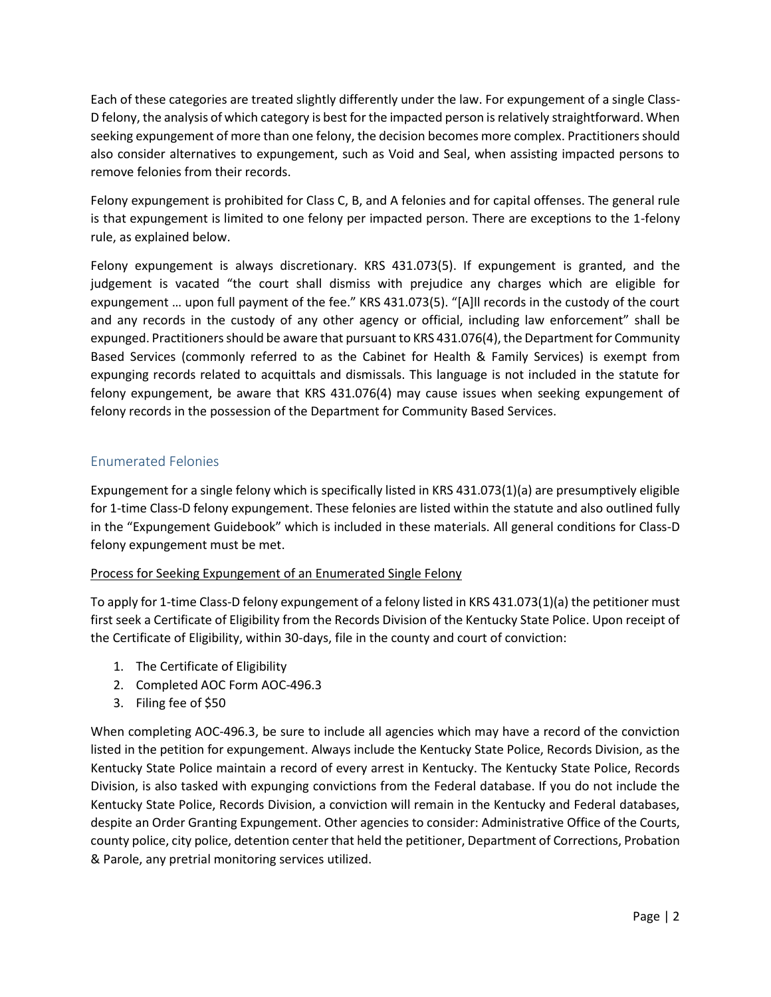Each of these categories are treated slightly differently under the law. For expungement of a single Class-D felony, the analysis of which category is best for the impacted person is relatively straightforward. When seeking expungement of more than one felony, the decision becomes more complex. Practitioners should also consider alternatives to expungement, such as Void and Seal, when assisting impacted persons to remove felonies from their records.

Felony expungement is prohibited for Class C, B, and A felonies and for capital offenses. The general rule is that expungement is limited to one felony per impacted person. There are exceptions to the 1-felony rule, as explained below.

Felony expungement is always discretionary. KRS 431.073(5). If expungement is granted, and the judgement is vacated "the court shall dismiss with prejudice any charges which are eligible for expungement … upon full payment of the fee." KRS 431.073(5). "[A]ll records in the custody of the court and any records in the custody of any other agency or official, including law enforcement" shall be expunged. Practitioners should be aware that pursuant to KRS 431.076(4), the Department for Community Based Services (commonly referred to as the Cabinet for Health & Family Services) is exempt from expunging records related to acquittals and dismissals. This language is not included in the statute for felony expungement, be aware that KRS 431.076(4) may cause issues when seeking expungement of felony records in the possession of the Department for Community Based Services.

### <span id="page-2-0"></span>Enumerated Felonies

Expungement for a single felony which is specifically listed in KRS 431.073(1)(a) are presumptively eligible for 1-time Class-D felony expungement. These felonies are listed within the statute and also outlined fully in the "Expungement Guidebook" which is included in these materials. All general conditions for Class-D felony expungement must be met.

### Process for Seeking Expungement of an Enumerated Single Felony

To apply for 1-time Class-D felony expungement of a felony listed in KRS 431.073(1)(a) the petitioner must first seek a Certificate of Eligibility from the Records Division of the Kentucky State Police. Upon receipt of the Certificate of Eligibility, within 30-days, file in the county and court of conviction:

- 1. The Certificate of Eligibility
- 2. Completed AOC Form AOC-496.3
- 3. Filing fee of \$50

When completing AOC-496.3, be sure to include all agencies which may have a record of the conviction listed in the petition for expungement. Always include the Kentucky State Police, Records Division, as the Kentucky State Police maintain a record of every arrest in Kentucky. The Kentucky State Police, Records Division, is also tasked with expunging convictions from the Federal database. If you do not include the Kentucky State Police, Records Division, a conviction will remain in the Kentucky and Federal databases, despite an Order Granting Expungement. Other agencies to consider: Administrative Office of the Courts, county police, city police, detention center that held the petitioner, Department of Corrections, Probation & Parole, any pretrial monitoring services utilized.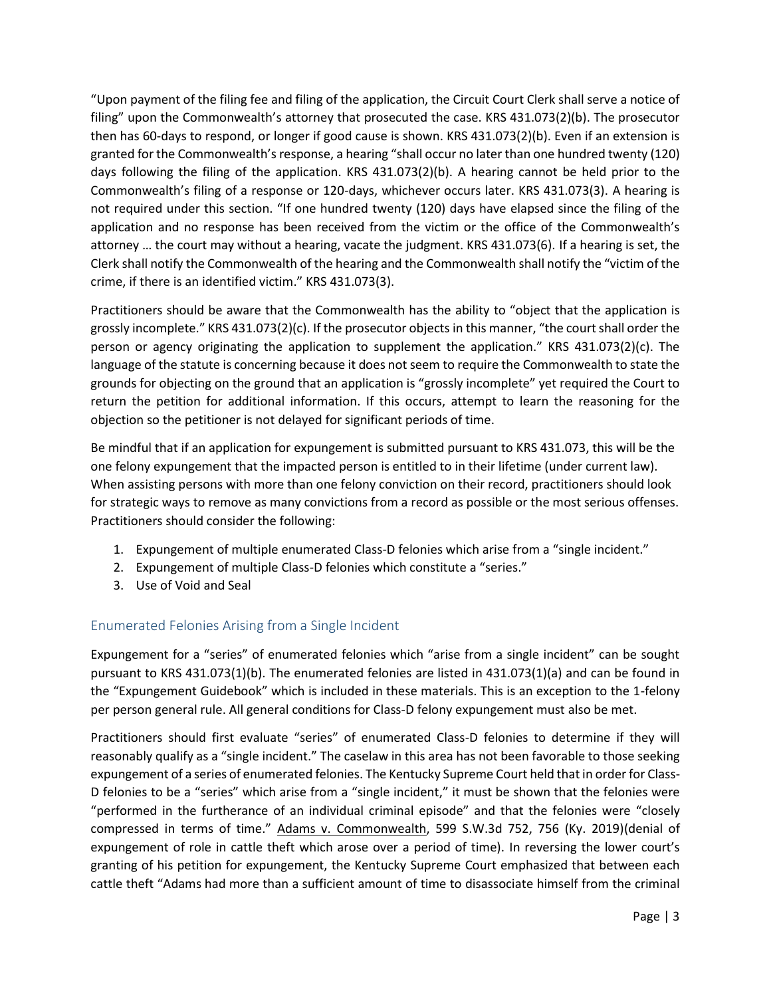"Upon payment of the filing fee and filing of the application, the Circuit Court Clerk shall serve a notice of filing" upon the Commonwealth's attorney that prosecuted the case. KRS 431.073(2)(b). The prosecutor then has 60-days to respond, or longer if good cause is shown. KRS 431.073(2)(b). Even if an extension is granted for the Commonwealth's response, a hearing "shall occur no later than one hundred twenty (120) days following the filing of the application. KRS 431.073(2)(b). A hearing cannot be held prior to the Commonwealth's filing of a response or 120-days, whichever occurs later. KRS 431.073(3). A hearing is not required under this section. "If one hundred twenty (120) days have elapsed since the filing of the application and no response has been received from the victim or the office of the Commonwealth's attorney … the court may without a hearing, vacate the judgment. KRS 431.073(6). If a hearing is set, the Clerk shall notify the Commonwealth of the hearing and the Commonwealth shall notify the "victim of the crime, if there is an identified victim." KRS 431.073(3).

Practitioners should be aware that the Commonwealth has the ability to "object that the application is grossly incomplete." KRS 431.073(2)(c). If the prosecutor objects in this manner, "the court shall order the person or agency originating the application to supplement the application." KRS 431.073(2)(c). The language of the statute is concerning because it does not seem to require the Commonwealth to state the grounds for objecting on the ground that an application is "grossly incomplete" yet required the Court to return the petition for additional information. If this occurs, attempt to learn the reasoning for the objection so the petitioner is not delayed for significant periods of time.

Be mindful that if an application for expungement is submitted pursuant to KRS 431.073, this will be the one felony expungement that the impacted person is entitled to in their lifetime (under current law). When assisting persons with more than one felony conviction on their record, practitioners should look for strategic ways to remove as many convictions from a record as possible or the most serious offenses. Practitioners should consider the following:

- 1. Expungement of multiple enumerated Class-D felonies which arise from a "single incident."
- 2. Expungement of multiple Class-D felonies which constitute a "series."
- 3. Use of Void and Seal

## <span id="page-3-0"></span>Enumerated Felonies Arising from a Single Incident

Expungement for a "series" of enumerated felonies which "arise from a single incident" can be sought pursuant to KRS 431.073(1)(b). The enumerated felonies are listed in 431.073(1)(a) and can be found in the "Expungement Guidebook" which is included in these materials. This is an exception to the 1-felony per person general rule. All general conditions for Class-D felony expungement must also be met.

Practitioners should first evaluate "series" of enumerated Class-D felonies to determine if they will reasonably qualify as a "single incident." The caselaw in this area has not been favorable to those seeking expungement of a series of enumerated felonies. The Kentucky Supreme Court held that in order for Class-D felonies to be a "series" which arise from a "single incident," it must be shown that the felonies were "performed in the furtherance of an individual criminal episode" and that the felonies were "closely compressed in terms of time." Adams v. Commonwealth, 599 S.W.3d 752, 756 (Ky. 2019)(denial of expungement of role in cattle theft which arose over a period of time). In reversing the lower court's granting of his petition for expungement, the Kentucky Supreme Court emphasized that between each cattle theft "Adams had more than a sufficient amount of time to disassociate himself from the criminal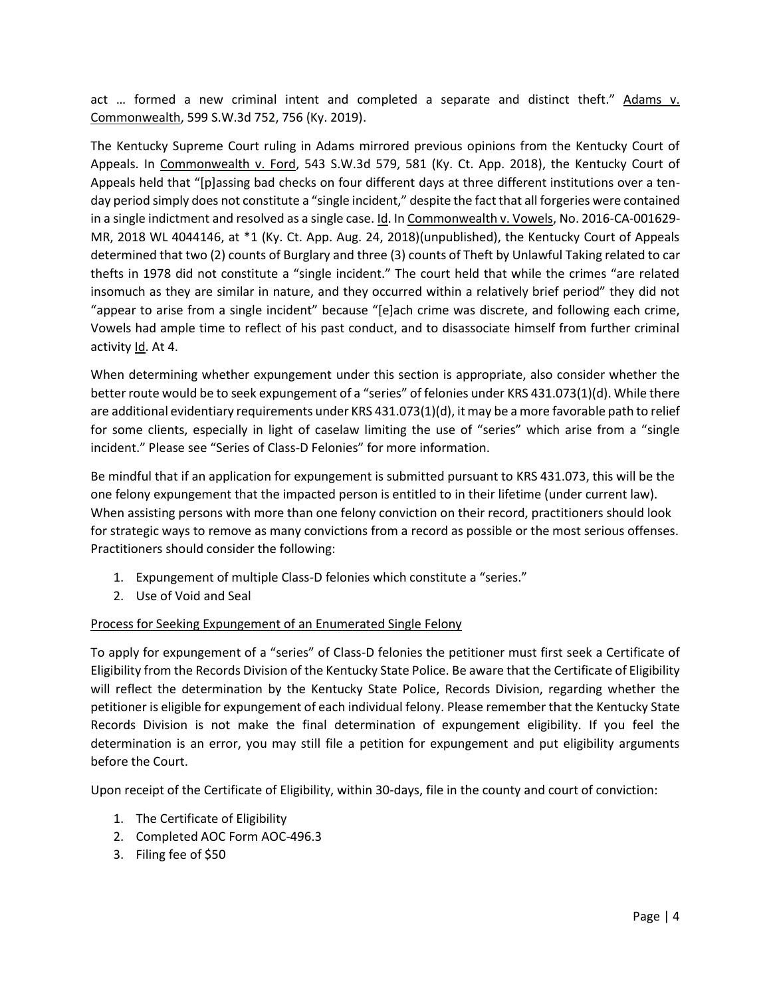act … formed a new criminal intent and completed a separate and distinct theft." Adams v. Commonwealth, 599 S.W.3d 752, 756 (Ky. 2019).

The Kentucky Supreme Court ruling in Adams mirrored previous opinions from the Kentucky Court of Appeals. In Commonwealth v. Ford, 543 S.W.3d 579, 581 (Ky. Ct. App. 2018), the Kentucky Court of Appeals held that "[p]assing bad checks on four different days at three different institutions over a tenday period simply does not constitute a "single incident," despite the fact that all forgeries were contained in a single indictment and resolved as a single case. Id. In Commonwealth v. Vowels, No. 2016-CA-001629- MR, 2018 WL 4044146, at \*1 (Ky. Ct. App. Aug. 24, 2018)(unpublished), the Kentucky Court of Appeals determined that two (2) counts of Burglary and three (3) counts of Theft by Unlawful Taking related to car thefts in 1978 did not constitute a "single incident." The court held that while the crimes "are related insomuch as they are similar in nature, and they occurred within a relatively brief period" they did not "appear to arise from a single incident" because "[e]ach crime was discrete, and following each crime, Vowels had ample time to reflect of his past conduct, and to disassociate himself from further criminal activity Id. At 4.

When determining whether expungement under this section is appropriate, also consider whether the better route would be to seek expungement of a "series" of felonies under KRS 431.073(1)(d). While there are additional evidentiary requirements under KRS 431.073(1)(d), it may be a more favorable path to relief for some clients, especially in light of caselaw limiting the use of "series" which arise from a "single incident." Please see "Series of Class-D Felonies" for more information.

Be mindful that if an application for expungement is submitted pursuant to KRS 431.073, this will be the one felony expungement that the impacted person is entitled to in their lifetime (under current law). When assisting persons with more than one felony conviction on their record, practitioners should look for strategic ways to remove as many convictions from a record as possible or the most serious offenses. Practitioners should consider the following:

- 1. Expungement of multiple Class-D felonies which constitute a "series."
- 2. Use of Void and Seal

### Process for Seeking Expungement of an Enumerated Single Felony

To apply for expungement of a "series" of Class-D felonies the petitioner must first seek a Certificate of Eligibility from the Records Division of the Kentucky State Police. Be aware that the Certificate of Eligibility will reflect the determination by the Kentucky State Police, Records Division, regarding whether the petitioner is eligible for expungement of each individual felony. Please remember that the Kentucky State Records Division is not make the final determination of expungement eligibility. If you feel the determination is an error, you may still file a petition for expungement and put eligibility arguments before the Court.

Upon receipt of the Certificate of Eligibility, within 30-days, file in the county and court of conviction:

- 1. The Certificate of Eligibility
- 2. Completed AOC Form AOC-496.3
- 3. Filing fee of \$50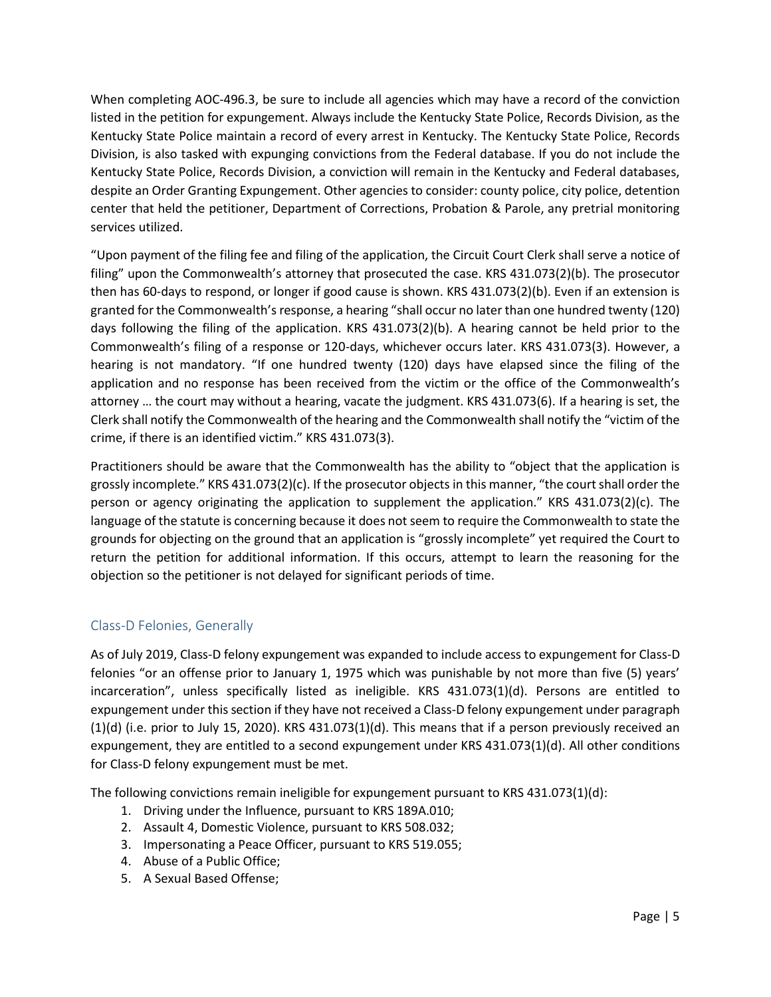When completing AOC-496.3, be sure to include all agencies which may have a record of the conviction listed in the petition for expungement. Always include the Kentucky State Police, Records Division, as the Kentucky State Police maintain a record of every arrest in Kentucky. The Kentucky State Police, Records Division, is also tasked with expunging convictions from the Federal database. If you do not include the Kentucky State Police, Records Division, a conviction will remain in the Kentucky and Federal databases, despite an Order Granting Expungement. Other agencies to consider: county police, city police, detention center that held the petitioner, Department of Corrections, Probation & Parole, any pretrial monitoring services utilized.

"Upon payment of the filing fee and filing of the application, the Circuit Court Clerk shall serve a notice of filing" upon the Commonwealth's attorney that prosecuted the case. KRS 431.073(2)(b). The prosecutor then has 60-days to respond, or longer if good cause is shown. KRS 431.073(2)(b). Even if an extension is granted for the Commonwealth's response, a hearing "shall occur no later than one hundred twenty (120) days following the filing of the application. KRS 431.073(2)(b). A hearing cannot be held prior to the Commonwealth's filing of a response or 120-days, whichever occurs later. KRS 431.073(3). However, a hearing is not mandatory. "If one hundred twenty (120) days have elapsed since the filing of the application and no response has been received from the victim or the office of the Commonwealth's attorney … the court may without a hearing, vacate the judgment. KRS 431.073(6). If a hearing is set, the Clerk shall notify the Commonwealth of the hearing and the Commonwealth shall notify the "victim of the crime, if there is an identified victim." KRS 431.073(3).

Practitioners should be aware that the Commonwealth has the ability to "object that the application is grossly incomplete." KRS 431.073(2)(c). If the prosecutor objects in this manner, "the court shall order the person or agency originating the application to supplement the application." KRS 431.073(2)(c). The language of the statute is concerning because it does not seem to require the Commonwealth to state the grounds for objecting on the ground that an application is "grossly incomplete" yet required the Court to return the petition for additional information. If this occurs, attempt to learn the reasoning for the objection so the petitioner is not delayed for significant periods of time.

## <span id="page-5-0"></span>Class-D Felonies, Generally

As of July 2019, Class-D felony expungement was expanded to include access to expungement for Class-D felonies "or an offense prior to January 1, 1975 which was punishable by not more than five (5) years' incarceration", unless specifically listed as ineligible. KRS 431.073(1)(d). Persons are entitled to expungement under this section if they have not received a Class-D felony expungement under paragraph  $(1)(d)$  (i.e. prior to July 15, 2020). KRS 431.073 $(1)(d)$ . This means that if a person previously received an expungement, they are entitled to a second expungement under KRS 431.073(1)(d). All other conditions for Class-D felony expungement must be met.

The following convictions remain ineligible for expungement pursuant to KRS 431.073(1)(d):

- 1. Driving under the Influence, pursuant to KRS 189A.010;
- 2. Assault 4, Domestic Violence, pursuant to KRS 508.032;
- 3. Impersonating a Peace Officer, pursuant to KRS 519.055;
- 4. Abuse of a Public Office;
- 5. A Sexual Based Offense;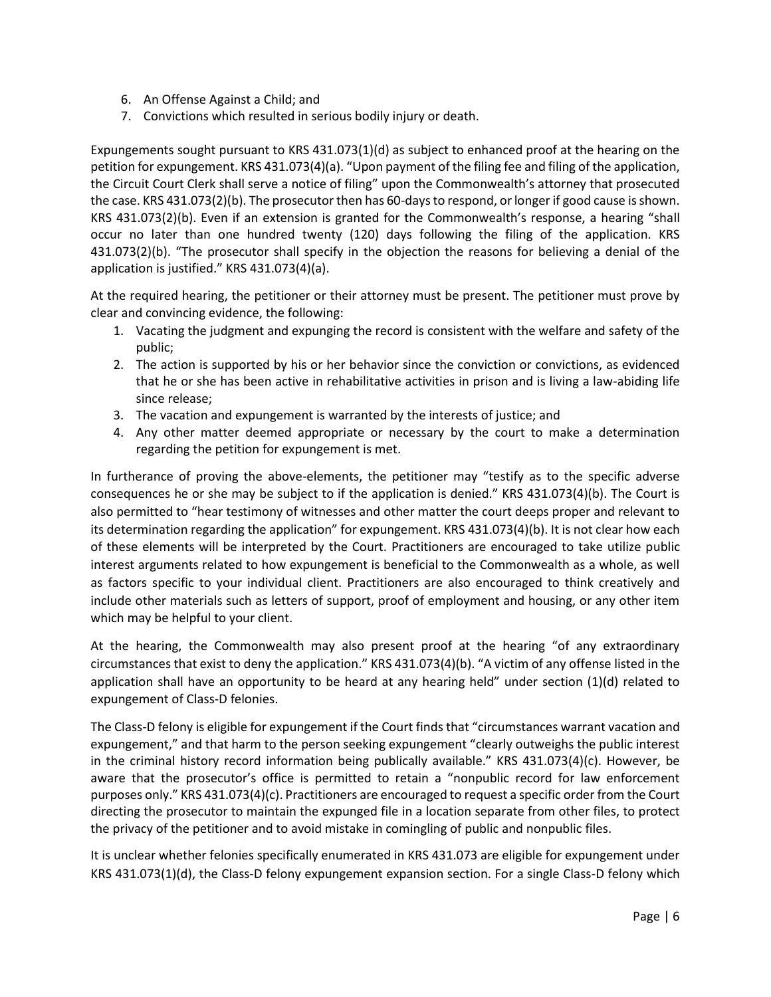- 6. An Offense Against a Child; and
- 7. Convictions which resulted in serious bodily injury or death.

Expungements sought pursuant to KRS 431.073(1)(d) as subject to enhanced proof at the hearing on the petition for expungement. KRS 431.073(4)(a). "Upon payment of the filing fee and filing of the application, the Circuit Court Clerk shall serve a notice of filing" upon the Commonwealth's attorney that prosecuted the case. KRS 431.073(2)(b). The prosecutor then has 60-days to respond, or longer if good cause is shown. KRS 431.073(2)(b). Even if an extension is granted for the Commonwealth's response, a hearing "shall occur no later than one hundred twenty (120) days following the filing of the application. KRS 431.073(2)(b). "The prosecutor shall specify in the objection the reasons for believing a denial of the application is justified." KRS 431.073(4)(a).

At the required hearing, the petitioner or their attorney must be present. The petitioner must prove by clear and convincing evidence, the following:

- 1. Vacating the judgment and expunging the record is consistent with the welfare and safety of the public;
- 2. The action is supported by his or her behavior since the conviction or convictions, as evidenced that he or she has been active in rehabilitative activities in prison and is living a law-abiding life since release;
- 3. The vacation and expungement is warranted by the interests of justice; and
- 4. Any other matter deemed appropriate or necessary by the court to make a determination regarding the petition for expungement is met.

In furtherance of proving the above-elements, the petitioner may "testify as to the specific adverse consequences he or she may be subject to if the application is denied." KRS 431.073(4)(b). The Court is also permitted to "hear testimony of witnesses and other matter the court deeps proper and relevant to its determination regarding the application" for expungement. KRS 431.073(4)(b). It is not clear how each of these elements will be interpreted by the Court. Practitioners are encouraged to take utilize public interest arguments related to how expungement is beneficial to the Commonwealth as a whole, as well as factors specific to your individual client. Practitioners are also encouraged to think creatively and include other materials such as letters of support, proof of employment and housing, or any other item which may be helpful to your client.

At the hearing, the Commonwealth may also present proof at the hearing "of any extraordinary circumstances that exist to deny the application." KRS 431.073(4)(b). "A victim of any offense listed in the application shall have an opportunity to be heard at any hearing held" under section (1)(d) related to expungement of Class-D felonies.

The Class-D felony is eligible for expungement if the Court finds that "circumstances warrant vacation and expungement," and that harm to the person seeking expungement "clearly outweighs the public interest in the criminal history record information being publically available." KRS 431.073(4)(c). However, be aware that the prosecutor's office is permitted to retain a "nonpublic record for law enforcement purposes only." KRS 431.073(4)(c). Practitioners are encouraged to request a specific order from the Court directing the prosecutor to maintain the expunged file in a location separate from other files, to protect the privacy of the petitioner and to avoid mistake in comingling of public and nonpublic files.

It is unclear whether felonies specifically enumerated in KRS 431.073 are eligible for expungement under KRS 431.073(1)(d), the Class-D felony expungement expansion section. For a single Class-D felony which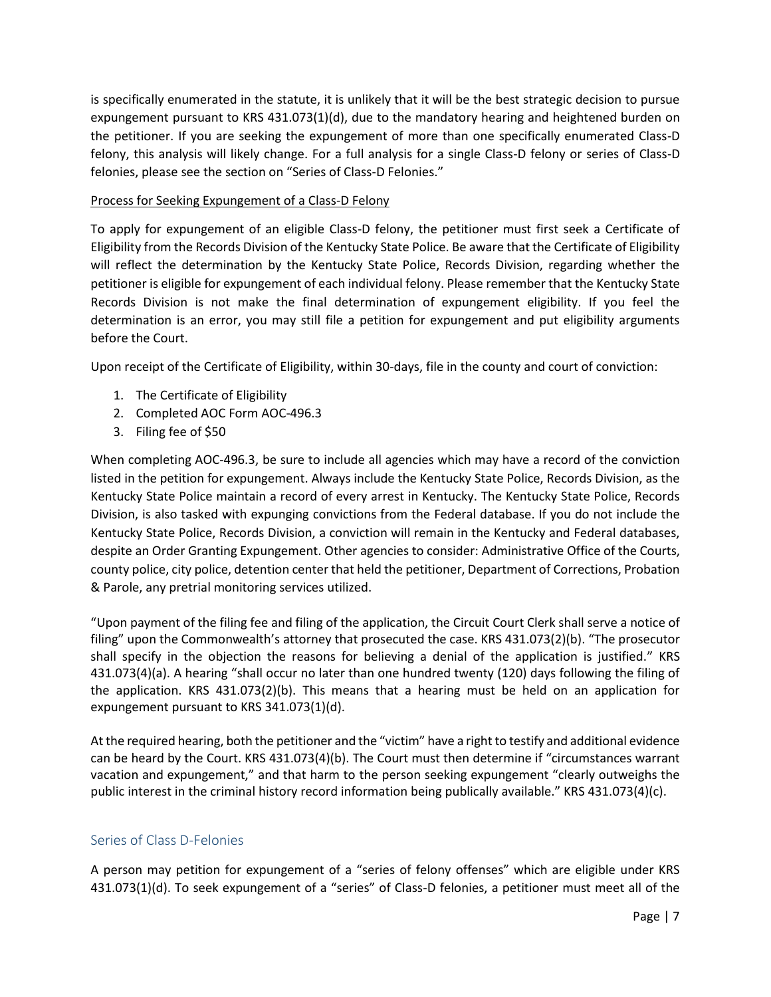is specifically enumerated in the statute, it is unlikely that it will be the best strategic decision to pursue expungement pursuant to KRS 431.073(1)(d), due to the mandatory hearing and heightened burden on the petitioner. If you are seeking the expungement of more than one specifically enumerated Class-D felony, this analysis will likely change. For a full analysis for a single Class-D felony or series of Class-D felonies, please see the section on "Series of Class-D Felonies."

#### Process for Seeking Expungement of a Class-D Felony

To apply for expungement of an eligible Class-D felony, the petitioner must first seek a Certificate of Eligibility from the Records Division of the Kentucky State Police. Be aware that the Certificate of Eligibility will reflect the determination by the Kentucky State Police, Records Division, regarding whether the petitioner is eligible for expungement of each individual felony. Please remember that the Kentucky State Records Division is not make the final determination of expungement eligibility. If you feel the determination is an error, you may still file a petition for expungement and put eligibility arguments before the Court.

Upon receipt of the Certificate of Eligibility, within 30-days, file in the county and court of conviction:

- 1. The Certificate of Eligibility
- 2. Completed AOC Form AOC-496.3
- 3. Filing fee of \$50

When completing AOC-496.3, be sure to include all agencies which may have a record of the conviction listed in the petition for expungement. Always include the Kentucky State Police, Records Division, as the Kentucky State Police maintain a record of every arrest in Kentucky. The Kentucky State Police, Records Division, is also tasked with expunging convictions from the Federal database. If you do not include the Kentucky State Police, Records Division, a conviction will remain in the Kentucky and Federal databases, despite an Order Granting Expungement. Other agencies to consider: Administrative Office of the Courts, county police, city police, detention center that held the petitioner, Department of Corrections, Probation & Parole, any pretrial monitoring services utilized.

"Upon payment of the filing fee and filing of the application, the Circuit Court Clerk shall serve a notice of filing" upon the Commonwealth's attorney that prosecuted the case. KRS 431.073(2)(b). "The prosecutor shall specify in the objection the reasons for believing a denial of the application is justified." KRS 431.073(4)(a). A hearing "shall occur no later than one hundred twenty (120) days following the filing of the application. KRS 431.073(2)(b). This means that a hearing must be held on an application for expungement pursuant to KRS 341.073(1)(d).

At the required hearing, both the petitioner and the "victim" have a right to testify and additional evidence can be heard by the Court. KRS 431.073(4)(b). The Court must then determine if "circumstances warrant vacation and expungement," and that harm to the person seeking expungement "clearly outweighs the public interest in the criminal history record information being publically available." KRS 431.073(4)(c).

### <span id="page-7-0"></span>Series of Class D-Felonies

A person may petition for expungement of a "series of felony offenses" which are eligible under KRS 431.073(1)(d). To seek expungement of a "series" of Class-D felonies, a petitioner must meet all of the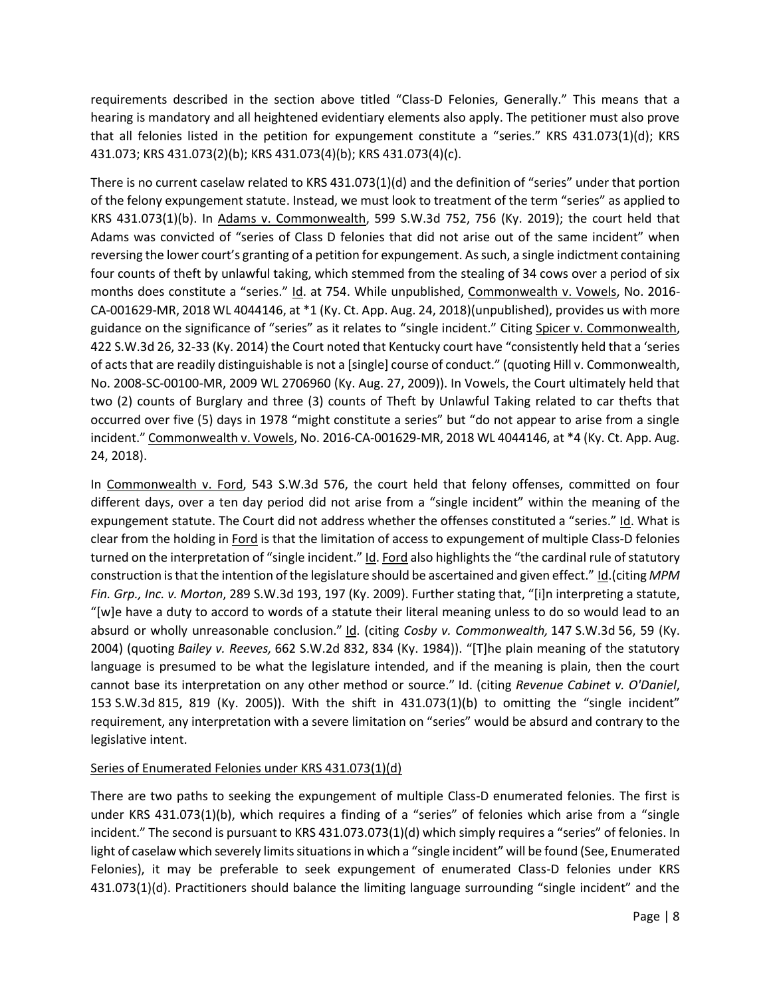requirements described in the section above titled "Class-D Felonies, Generally." This means that a hearing is mandatory and all heightened evidentiary elements also apply. The petitioner must also prove that all felonies listed in the petition for expungement constitute a "series." KRS 431.073(1)(d); KRS 431.073; KRS 431.073(2)(b); KRS 431.073(4)(b); KRS 431.073(4)(c).

There is no current caselaw related to KRS 431.073(1)(d) and the definition of "series" under that portion of the felony expungement statute. Instead, we must look to treatment of the term "series" as applied to KRS  $431.073(1)(b)$ . In  $Adams$  v. Commonwealth, 599 S.W.3d 752, 756 (Ky. 2019); the court held that Adams was convicted of "series of Class D felonies that did not arise out of the same incident" when reversing the lower court's granting of a petition for expungement. As such, a single indictment containing four counts of theft by unlawful taking, which stemmed from the stealing of 34 cows over a period of six months does constitute a "series." Id. at 754. While unpublished, Commonwealth v. Vowels, No. 2016- CA-001629-MR, 2018 WL 4044146, at \*1 (Ky. Ct. App. Aug. 24, 2018)(unpublished), provides us with more guidance on the significance of "series" as it relates to "single incident." Citing Spicer v. Commonwealth, 422 S.W.3d 26, 32-33 (Ky. 2014) the Court noted that Kentucky court have "consistently held that a 'series of acts that are readily distinguishable is not a [single] course of conduct." (quoting Hill v. Commonwealth, No. 2008-SC-00100-MR, 2009 WL 2706960 (Ky. Aug. 27, 2009)). In Vowels, the Court ultimately held that two (2) counts of Burglary and three (3) counts of Theft by Unlawful Taking related to car thefts that occurred over five (5) days in 1978 "might constitute a series" but "do not appear to arise from a single incident." Commonwealth v. Vowels, No. 2016-CA-001629-MR, 2018 WL 4044146, at \*4 (Ky. Ct. App. Aug. 24, 2018).

In Commonwealth v. Ford, 543 S.W.3d 576, the court held that felony offenses, committed on four different days, over a ten day period did not arise from a "single incident" within the meaning of the expungement statute. The Court did not address whether the offenses constituted a "series." Id. What is clear from the holding in Ford is that the limitation of access to expungement of multiple Class-D felonies turned on the interpretation of "single incident." Id. Ford also highlights the "the cardinal rule of statutory construction is that the intention of the legislature should be ascertained and given effect." Id.(citing *MPM Fin. Grp., Inc. v. Morton*, 289 S.W.3d 193, 197 (Ky. 2009). Further stating that, "[i]n interpreting a statute, "[w]e have a duty to accord to words of a statute their literal meaning unless to do so would lead to an absurd or wholly unreasonable conclusion." Id. (citing *Cosby v. Commonwealth,* 147 S.W.3d 56, 59 (Ky. 2004) (quoting *Bailey v. Reeves,* 662 S.W.2d 832, 834 (Ky. 1984)). "[T]he plain meaning of the statutory language is presumed to be what the legislature intended, and if the meaning is plain, then the court cannot base its interpretation on any other method or source." Id. (citing *Revenue Cabinet v. O'Daniel*, 153 S.W.3d 815, 819 (Ky. 2005)). With the shift in 431.073(1)(b) to omitting the "single incident" requirement, any interpretation with a severe limitation on "series" would be absurd and contrary to the legislative intent.

### Series of Enumerated Felonies under KRS 431.073(1)(d)

There are two paths to seeking the expungement of multiple Class-D enumerated felonies. The first is under KRS 431.073(1)(b), which requires a finding of a "series" of felonies which arise from a "single incident." The second is pursuant to KRS 431.073.073(1)(d) which simply requires a "series" of felonies. In light of caselaw which severely limits situations in which a "single incident" will be found (See, Enumerated Felonies), it may be preferable to seek expungement of enumerated Class-D felonies under KRS 431.073(1)(d). Practitioners should balance the limiting language surrounding "single incident" and the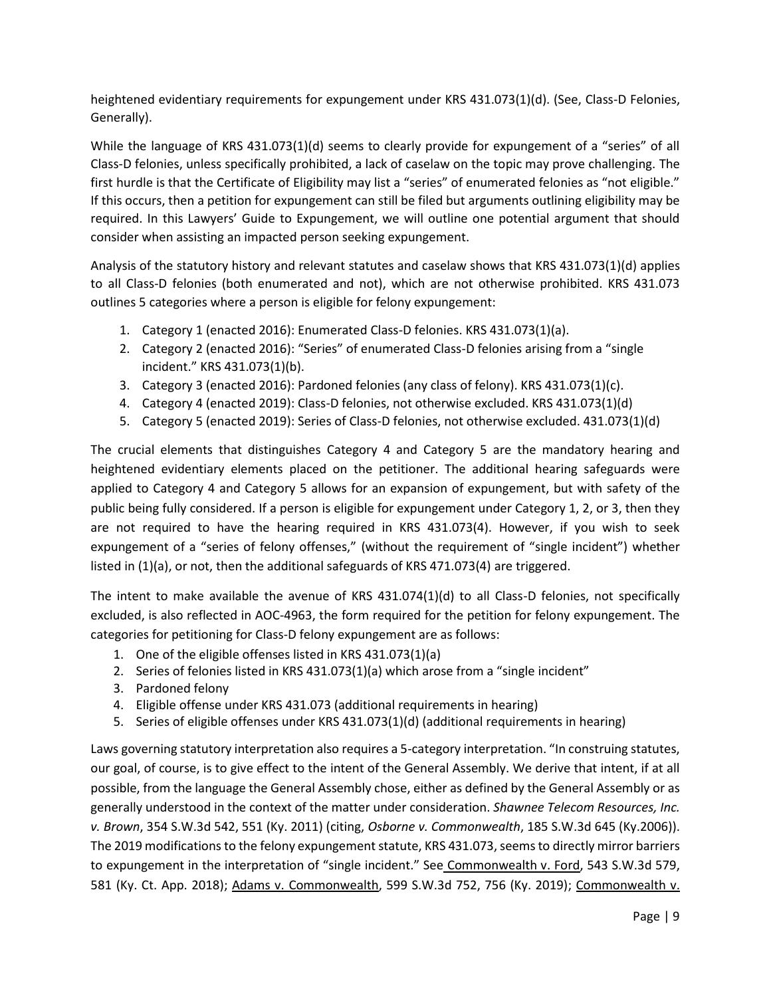heightened evidentiary requirements for expungement under KRS 431.073(1)(d). (See, Class-D Felonies, Generally).

While the language of KRS 431.073(1)(d) seems to clearly provide for expungement of a "series" of all Class-D felonies, unless specifically prohibited, a lack of caselaw on the topic may prove challenging. The first hurdle is that the Certificate of Eligibility may list a "series" of enumerated felonies as "not eligible." If this occurs, then a petition for expungement can still be filed but arguments outlining eligibility may be required. In this Lawyers' Guide to Expungement, we will outline one potential argument that should consider when assisting an impacted person seeking expungement.

Analysis of the statutory history and relevant statutes and caselaw shows that KRS 431.073(1)(d) applies to all Class-D felonies (both enumerated and not), which are not otherwise prohibited. KRS 431.073 outlines 5 categories where a person is eligible for felony expungement:

- 1. Category 1 (enacted 2016): Enumerated Class-D felonies. KRS 431.073(1)(a).
- 2. Category 2 (enacted 2016): "Series" of enumerated Class-D felonies arising from a "single incident." KRS 431.073(1)(b).
- 3. Category 3 (enacted 2016): Pardoned felonies (any class of felony). KRS 431.073(1)(c).
- 4. Category 4 (enacted 2019): Class-D felonies, not otherwise excluded. KRS 431.073(1)(d)
- 5. Category 5 (enacted 2019): Series of Class-D felonies, not otherwise excluded. 431.073(1)(d)

The crucial elements that distinguishes Category 4 and Category 5 are the mandatory hearing and heightened evidentiary elements placed on the petitioner. The additional hearing safeguards were applied to Category 4 and Category 5 allows for an expansion of expungement, but with safety of the public being fully considered. If a person is eligible for expungement under Category 1, 2, or 3, then they are not required to have the hearing required in KRS 431.073(4). However, if you wish to seek expungement of a "series of felony offenses," (without the requirement of "single incident") whether listed in (1)(a), or not, then the additional safeguards of KRS 471.073(4) are triggered.

The intent to make available the avenue of KRS 431.074(1)(d) to all Class-D felonies, not specifically excluded, is also reflected in AOC-4963, the form required for the petition for felony expungement. The categories for petitioning for Class-D felony expungement are as follows:

- 1. One of the eligible offenses listed in KRS 431.073(1)(a)
- 2. Series of felonies listed in KRS 431.073(1)(a) which arose from a "single incident"
- 3. Pardoned felony
- 4. Eligible offense under KRS 431.073 (additional requirements in hearing)
- 5. Series of eligible offenses under KRS 431.073(1)(d) (additional requirements in hearing)

Laws governing statutory interpretation also requires a 5-category interpretation. "In construing statutes, our goal, of course, is to give effect to the intent of the General Assembly. We derive that intent, if at all possible, from the language the General Assembly chose, either as defined by the General Assembly or as generally understood in the context of the matter under consideration. *Shawnee Telecom Resources, Inc. v. Brown*, 354 S.W.3d 542, 551 (Ky. 2011) (citing, *Osborne v. Commonwealth*, 185 S.W.3d 645 (Ky.2006)). The 2019 modifications to the felony expungement statute, KRS 431.073, seems to directly mirror barriers to expungement in the interpretation of "single incident." See Commonwealth v. Ford, 543 S.W.3d 579, 581 (Ky. Ct. App. 2018); Adams v. Commonwealth, 599 S.W.3d 752, 756 (Ky. 2019); Commonwealth v.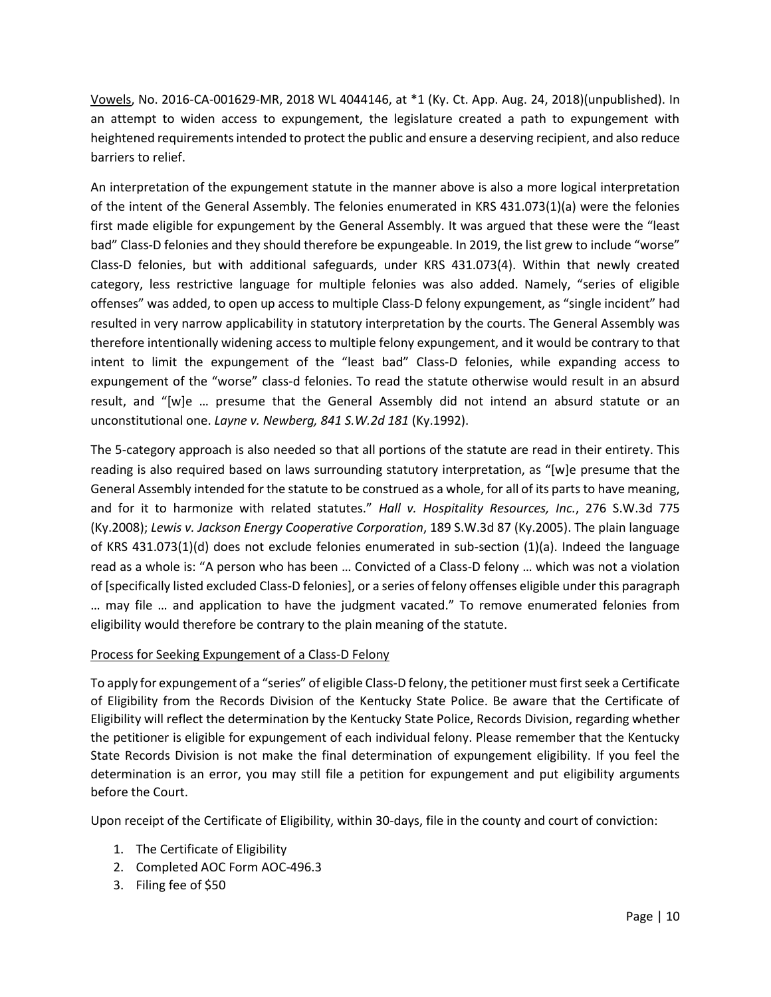Vowels, No. 2016-CA-001629-MR, 2018 WL 4044146, at \*1 (Ky. Ct. App. Aug. 24, 2018)(unpublished). In an attempt to widen access to expungement, the legislature created a path to expungement with heightened requirements intended to protect the public and ensure a deserving recipient, and also reduce barriers to relief.

An interpretation of the expungement statute in the manner above is also a more logical interpretation of the intent of the General Assembly. The felonies enumerated in KRS 431.073(1)(a) were the felonies first made eligible for expungement by the General Assembly. It was argued that these were the "least bad" Class-D felonies and they should therefore be expungeable. In 2019, the list grew to include "worse" Class-D felonies, but with additional safeguards, under KRS 431.073(4). Within that newly created category, less restrictive language for multiple felonies was also added. Namely, "series of eligible offenses" was added, to open up access to multiple Class-D felony expungement, as "single incident" had resulted in very narrow applicability in statutory interpretation by the courts. The General Assembly was therefore intentionally widening access to multiple felony expungement, and it would be contrary to that intent to limit the expungement of the "least bad" Class-D felonies, while expanding access to expungement of the "worse" class-d felonies. To read the statute otherwise would result in an absurd result, and "[w]e … presume that the General Assembly did not intend an absurd statute or an unconstitutional one. *Layne v. Newberg, 841 S.W.2d 181* (Ky.1992).

The 5-category approach is also needed so that all portions of the statute are read in their entirety. This reading is also required based on laws surrounding statutory interpretation, as "[w]e presume that the General Assembly intended for the statute to be construed as a whole, for all of its parts to have meaning, and for it to harmonize with related statutes." *Hall v. Hospitality Resources, Inc.*, 276 S.W.3d 775 (Ky.2008); *Lewis v. Jackson Energy Cooperative Corporation*, 189 S.W.3d 87 (Ky.2005). The plain language of KRS 431.073(1)(d) does not exclude felonies enumerated in sub-section (1)(a). Indeed the language read as a whole is: "A person who has been … Convicted of a Class-D felony … which was not a violation of [specifically listed excluded Class-D felonies], or a series of felony offenses eligible under this paragraph … may file … and application to have the judgment vacated." To remove enumerated felonies from eligibility would therefore be contrary to the plain meaning of the statute.

#### Process for Seeking Expungement of a Class-D Felony

To apply for expungement of a "series" of eligible Class-D felony, the petitioner must first seek a Certificate of Eligibility from the Records Division of the Kentucky State Police. Be aware that the Certificate of Eligibility will reflect the determination by the Kentucky State Police, Records Division, regarding whether the petitioner is eligible for expungement of each individual felony. Please remember that the Kentucky State Records Division is not make the final determination of expungement eligibility. If you feel the determination is an error, you may still file a petition for expungement and put eligibility arguments before the Court.

Upon receipt of the Certificate of Eligibility, within 30-days, file in the county and court of conviction:

- 1. The Certificate of Eligibility
- 2. Completed AOC Form AOC-496.3
- 3. Filing fee of \$50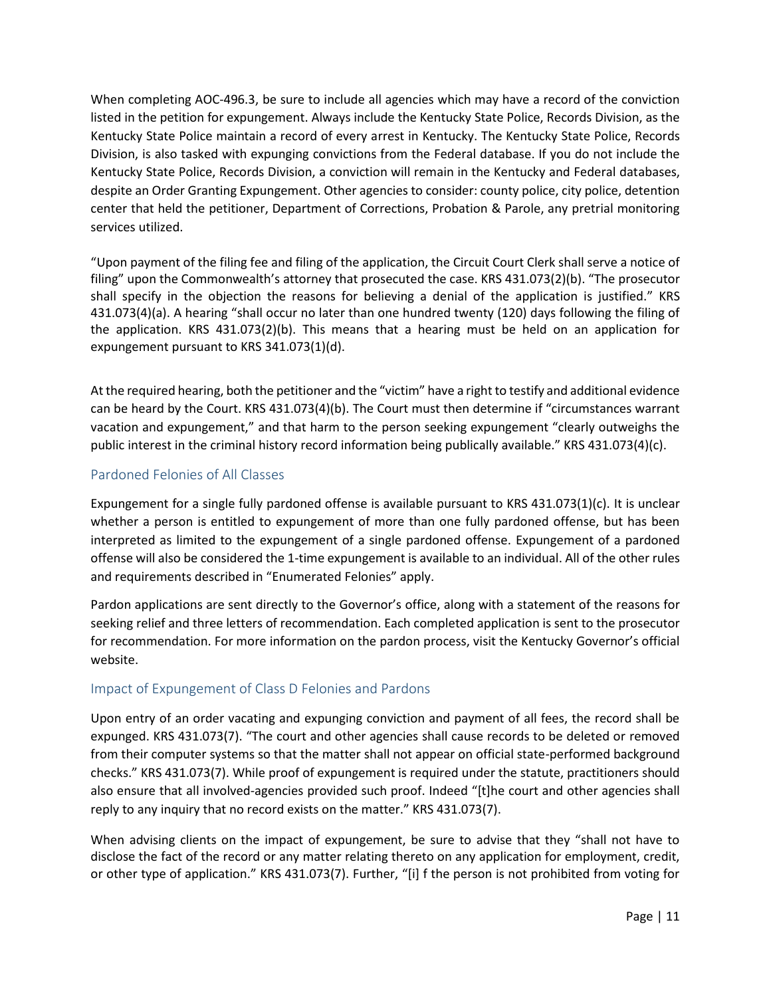When completing AOC-496.3, be sure to include all agencies which may have a record of the conviction listed in the petition for expungement. Always include the Kentucky State Police, Records Division, as the Kentucky State Police maintain a record of every arrest in Kentucky. The Kentucky State Police, Records Division, is also tasked with expunging convictions from the Federal database. If you do not include the Kentucky State Police, Records Division, a conviction will remain in the Kentucky and Federal databases, despite an Order Granting Expungement. Other agencies to consider: county police, city police, detention center that held the petitioner, Department of Corrections, Probation & Parole, any pretrial monitoring services utilized.

"Upon payment of the filing fee and filing of the application, the Circuit Court Clerk shall serve a notice of filing" upon the Commonwealth's attorney that prosecuted the case. KRS 431.073(2)(b). "The prosecutor shall specify in the objection the reasons for believing a denial of the application is justified." KRS 431.073(4)(a). A hearing "shall occur no later than one hundred twenty (120) days following the filing of the application. KRS 431.073(2)(b). This means that a hearing must be held on an application for expungement pursuant to KRS 341.073(1)(d).

At the required hearing, both the petitioner and the "victim" have a right to testify and additional evidence can be heard by the Court. KRS 431.073(4)(b). The Court must then determine if "circumstances warrant vacation and expungement," and that harm to the person seeking expungement "clearly outweighs the public interest in the criminal history record information being publically available." KRS 431.073(4)(c).

### <span id="page-11-0"></span>Pardoned Felonies of All Classes

Expungement for a single fully pardoned offense is available pursuant to KRS 431.073(1)(c). It is unclear whether a person is entitled to expungement of more than one fully pardoned offense, but has been interpreted as limited to the expungement of a single pardoned offense. Expungement of a pardoned offense will also be considered the 1-time expungement is available to an individual. All of the other rules and requirements described in "Enumerated Felonies" apply.

Pardon applications are sent directly to the Governor's office, along with a statement of the reasons for seeking relief and three letters of recommendation. Each completed application is sent to the prosecutor for recommendation. For more information on the pardon process, visit the Kentucky Governor's official website.

## <span id="page-11-1"></span>Impact of Expungement of Class D Felonies and Pardons

Upon entry of an order vacating and expunging conviction and payment of all fees, the record shall be expunged. KRS 431.073(7). "The court and other agencies shall cause records to be deleted or removed from their computer systems so that the matter shall not appear on official state-performed background checks." KRS 431.073(7). While proof of expungement is required under the statute, practitioners should also ensure that all involved-agencies provided such proof. Indeed "[t]he court and other agencies shall reply to any inquiry that no record exists on the matter." KRS 431.073(7).

When advising clients on the impact of expungement, be sure to advise that they "shall not have to disclose the fact of the record or any matter relating thereto on any application for employment, credit, or other type of application." KRS 431.073(7). Further, "[i] f the person is not prohibited from voting for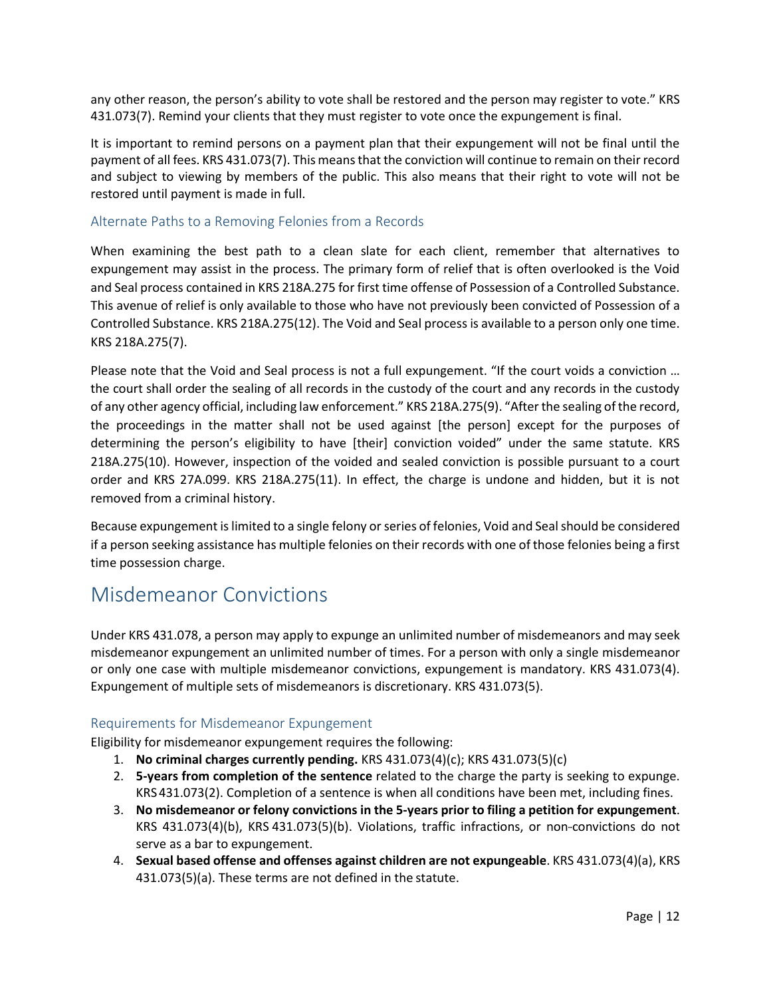any other reason, the person's ability to vote shall be restored and the person may register to vote." KRS 431.073(7). Remind your clients that they must register to vote once the expungement is final.

It is important to remind persons on a payment plan that their expungement will not be final until the payment of all fees. KRS 431.073(7). This means that the conviction will continue to remain on their record and subject to viewing by members of the public. This also means that their right to vote will not be restored until payment is made in full.

#### <span id="page-12-0"></span>Alternate Paths to a Removing Felonies from a Records

When examining the best path to a clean slate for each client, remember that alternatives to expungement may assist in the process. The primary form of relief that is often overlooked is the Void and Seal process contained in KRS 218A.275 for first time offense of Possession of a Controlled Substance. This avenue of relief is only available to those who have not previously been convicted of Possession of a Controlled Substance. KRS 218A.275(12). The Void and Seal process is available to a person only one time. KRS 218A.275(7).

Please note that the Void and Seal process is not a full expungement. "If the court voids a conviction … the court shall order the sealing of all records in the custody of the court and any records in the custody of any other agency official, including law enforcement." KRS 218A.275(9). "After the sealing of the record, the proceedings in the matter shall not be used against [the person] except for the purposes of determining the person's eligibility to have [their] conviction voided" under the same statute. KRS 218A.275(10). However, inspection of the voided and sealed conviction is possible pursuant to a court order and KRS 27A.099. KRS 218A.275(11). In effect, the charge is undone and hidden, but it is not removed from a criminal history.

Because expungement is limited to a single felony or series of felonies, Void and Seal should be considered if a person seeking assistance has multiple felonies on their records with one of those felonies being a first time possession charge.

# <span id="page-12-1"></span>Misdemeanor Convictions

Under KRS 431.078, a person may apply to expunge an unlimited number of misdemeanors and may seek misdemeanor expungement an unlimited number of times. For a person with only a single misdemeanor or only one case with multiple misdemeanor convictions, expungement is mandatory. KRS 431.073(4). Expungement of multiple sets of misdemeanors is discretionary. KRS 431.073(5).

### <span id="page-12-2"></span>Requirements for Misdemeanor Expungement

Eligibility for misdemeanor expungement requires the following:

- 1. **No criminal charges currently pending.** KRS 431.073(4)(c); KRS 431.073(5)(c)
- 2. **5-years from completion of the sentence** related to the charge the party is seeking to expunge. KRS 431.073(2). Completion of a sentence is when all conditions have been met, including fines.
- 3. **No misdemeanor or felony convictions in the 5-years prior to filing a petition for expungement**. KRS 431.073(4)(b), KRS 431.073(5)(b). Violations, traffic infractions, or non-convictions do not serve as a bar to expungement.
- 4. **Sexual based offense and offenses against children are not expungeable**. KRS 431.073(4)(a), KRS 431.073(5)(a). These terms are not defined in the statute.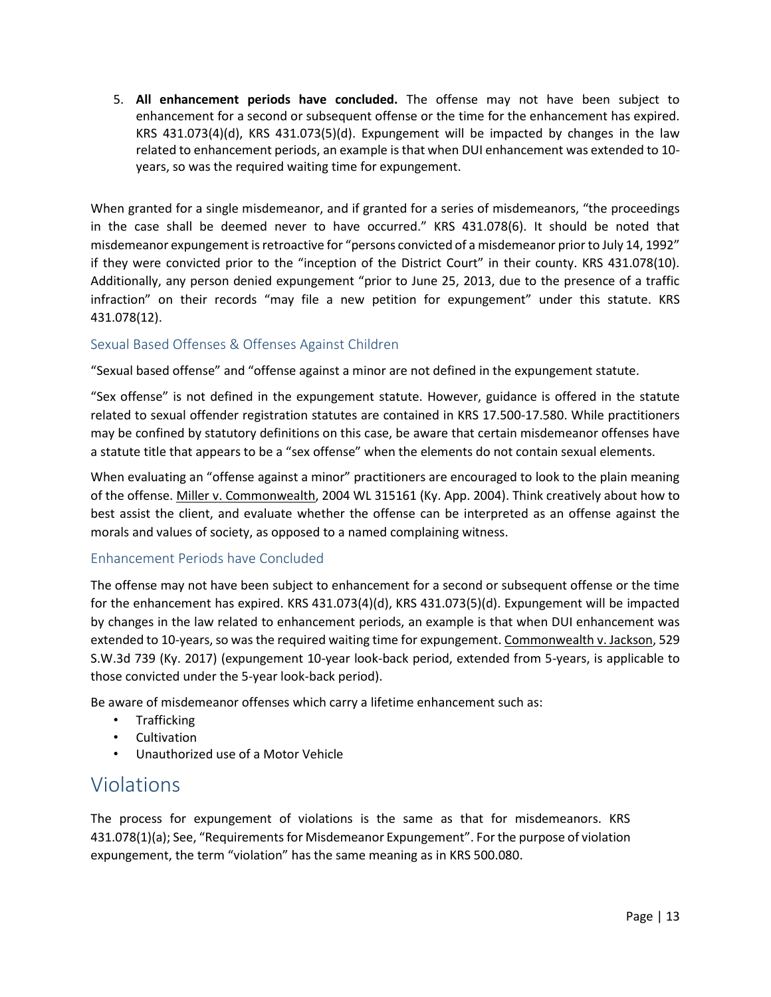5. **All enhancement periods have concluded.** The offense may not have been subject to enhancement for a second or subsequent offense or the time for the enhancement has expired. KRS 431.073(4)(d), KRS 431.073(5)(d). Expungement will be impacted by changes in the law related to enhancement periods, an example is that when DUI enhancement was extended to 10 years, so was the required waiting time for expungement.

When granted for a single misdemeanor, and if granted for a series of misdemeanors, "the proceedings in the case shall be deemed never to have occurred." KRS 431.078(6). It should be noted that misdemeanor expungement is retroactive for "persons convicted of a misdemeanor prior to July 14, 1992" if they were convicted prior to the "inception of the District Court" in their county. KRS 431.078(10). Additionally, any person denied expungement "prior to June 25, 2013, due to the presence of a traffic infraction" on their records "may file a new petition for expungement" under this statute. KRS 431.078(12).

### <span id="page-13-0"></span>Sexual Based Offenses & Offenses Against Children

"Sexual based offense" and "offense against a minor are not defined in the expungement statute.

"Sex offense" is not defined in the expungement statute. However, guidance is offered in the statute related to sexual offender registration statutes are contained in KRS 17.500-17.580. While practitioners may be confined by statutory definitions on this case, be aware that certain misdemeanor offenses have a statute title that appears to be a "sex offense" when the elements do not contain sexual elements.

When evaluating an "offense against a minor" practitioners are encouraged to look to the plain meaning of the offense. Miller v. Commonwealth, 2004 WL 315161 (Ky. App. 2004). Think creatively about how to best assist the client, and evaluate whether the offense can be interpreted as an offense against the morals and values of society, as opposed to a named complaining witness.

#### <span id="page-13-1"></span>Enhancement Periods have Concluded

The offense may not have been subject to enhancement for a second or subsequent offense or the time for the enhancement has expired. KRS 431.073(4)(d), KRS 431.073(5)(d). Expungement will be impacted by changes in the law related to enhancement periods, an example is that when DUI enhancement was extended to 10-years, so was the required waiting time for expungement. Commonwealth v. Jackson, 529 S.W.3d 739 (Ky. 2017) (expungement 10-year look-back period, extended from 5-years, is applicable to those convicted under the 5-year look-back period).

Be aware of misdemeanor offenses which carry a lifetime enhancement such as:

- Trafficking
- Cultivation
- Unauthorized use of a Motor Vehicle

# <span id="page-13-2"></span>Violations

The process for expungement of violations is the same as that for misdemeanors. KRS 431.078(1)(a); See, "Requirements for Misdemeanor Expungement". For the purpose of violation expungement, the term "violation" has the same meaning as in KRS 500.080.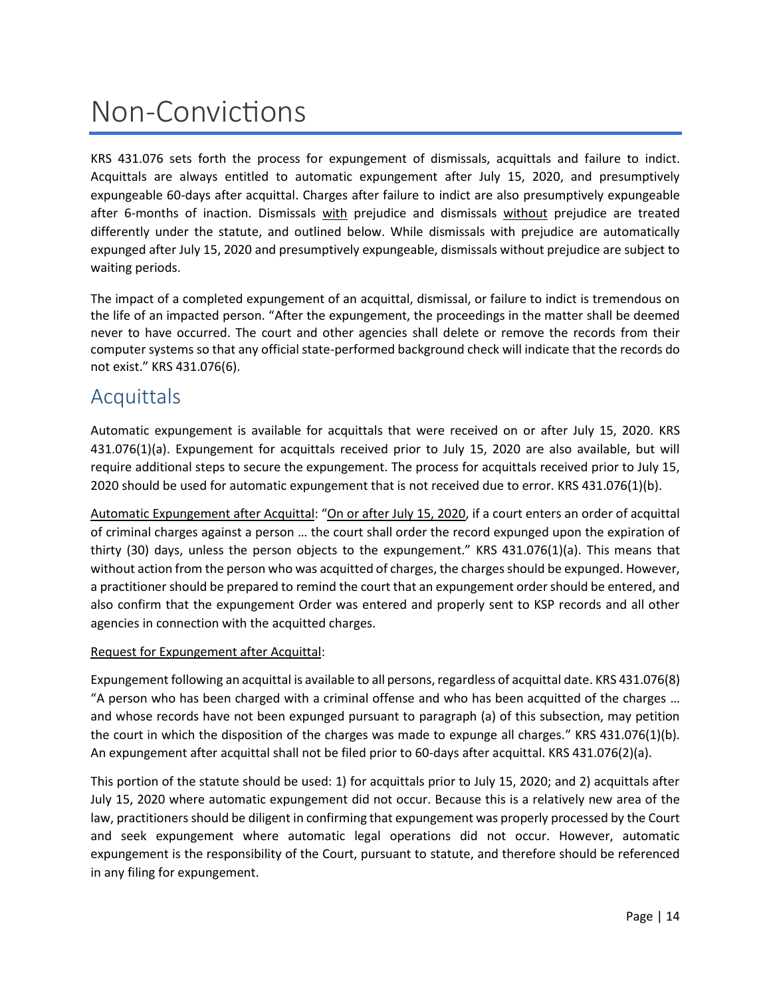# <span id="page-14-0"></span>Non-Convictions

KRS 431.076 sets forth the process for expungement of dismissals, acquittals and failure to indict. Acquittals are always entitled to automatic expungement after July 15, 2020, and presumptively expungeable 60-days after acquittal. Charges after failure to indict are also presumptively expungeable after 6-months of inaction. Dismissals with prejudice and dismissals without prejudice are treated differently under the statute, and outlined below. While dismissals with prejudice are automatically expunged after July 15, 2020 and presumptively expungeable, dismissals without prejudice are subject to waiting periods.

The impact of a completed expungement of an acquittal, dismissal, or failure to indict is tremendous on the life of an impacted person. "After the expungement, the proceedings in the matter shall be deemed never to have occurred. The court and other agencies shall delete or remove the records from their computer systems so that any official state-performed background check will indicate that the records do not exist." KRS 431.076(6).

# <span id="page-14-1"></span>**Acquittals**

Automatic expungement is available for acquittals that were received on or after July 15, 2020. KRS 431.076(1)(a). Expungement for acquittals received prior to July 15, 2020 are also available, but will require additional steps to secure the expungement. The process for acquittals received prior to July 15, 2020 should be used for automatic expungement that is not received due to error. KRS 431.076(1)(b).

Automatic Expungement after Acquittal: "On or after July 15, 2020, if a court enters an order of acquittal of criminal charges against a person … the court shall order the record expunged upon the expiration of thirty (30) days, unless the person objects to the expungement." KRS 431.076(1)(a). This means that without action from the person who was acquitted of charges, the charges should be expunged. However, a practitioner should be prepared to remind the court that an expungement order should be entered, and also confirm that the expungement Order was entered and properly sent to KSP records and all other agencies in connection with the acquitted charges.

#### Request for Expungement after Acquittal:

Expungement following an acquittal is available to all persons, regardless of acquittal date. KRS 431.076(8) "A person who has been charged with a criminal offense and who has been acquitted of the charges … and whose records have not been expunged pursuant to paragraph (a) of this subsection, may petition the court in which the disposition of the charges was made to expunge all charges." KRS 431.076(1)(b). An expungement after acquittal shall not be filed prior to 60-days after acquittal. KRS 431.076(2)(a).

This portion of the statute should be used: 1) for acquittals prior to July 15, 2020; and 2) acquittals after July 15, 2020 where automatic expungement did not occur. Because this is a relatively new area of the law, practitioners should be diligent in confirming that expungement was properly processed by the Court and seek expungement where automatic legal operations did not occur. However, automatic expungement is the responsibility of the Court, pursuant to statute, and therefore should be referenced in any filing for expungement.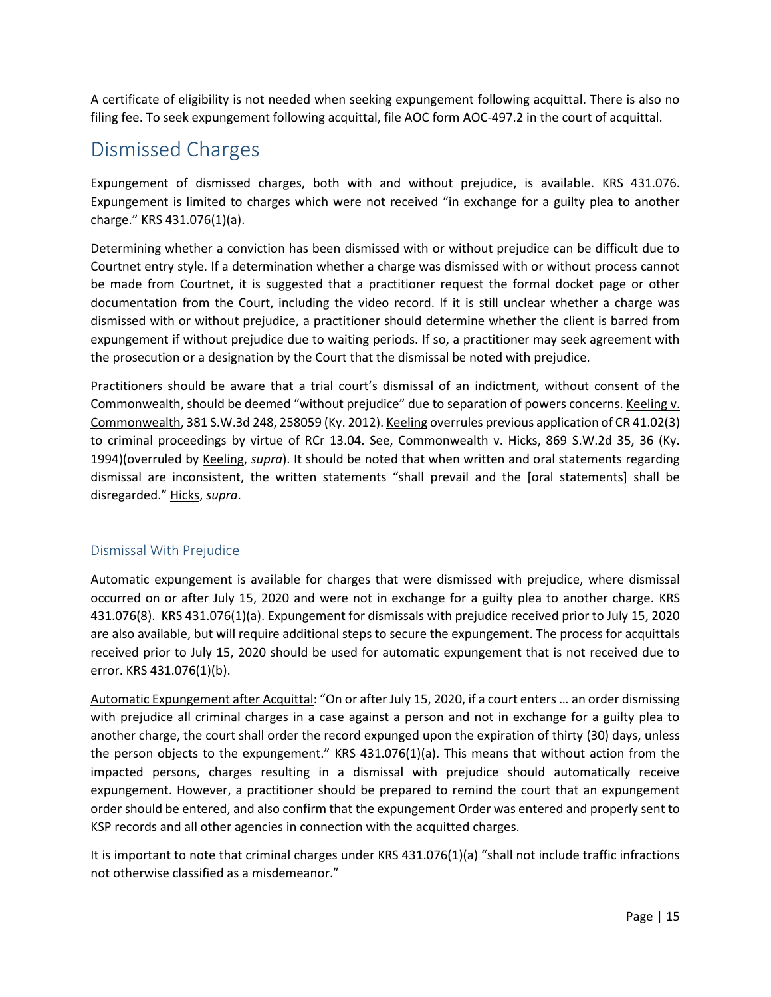A certificate of eligibility is not needed when seeking expungement following acquittal. There is also no filing fee. To seek expungement following acquittal, file AOC form AOC-497.2 in the court of acquittal.

# <span id="page-15-0"></span>Dismissed Charges

Expungement of dismissed charges, both with and without prejudice, is available. KRS 431.076. Expungement is limited to charges which were not received "in exchange for a guilty plea to another charge." KRS 431.076(1)(a).

Determining whether a conviction has been dismissed with or without prejudice can be difficult due to Courtnet entry style. If a determination whether a charge was dismissed with or without process cannot be made from Courtnet, it is suggested that a practitioner request the formal docket page or other documentation from the Court, including the video record. If it is still unclear whether a charge was dismissed with or without prejudice, a practitioner should determine whether the client is barred from expungement if without prejudice due to waiting periods. If so, a practitioner may seek agreement with the prosecution or a designation by the Court that the dismissal be noted with prejudice.

Practitioners should be aware that a trial court's dismissal of an indictment, without consent of the Commonwealth, should be deemed "without prejudice" due to separation of powers concerns. Keeling v. Commonwealth, 381 S.W.3d 248, 258059 (Ky. 2012). Keeling overrules previous application of CR 41.02(3) to criminal proceedings by virtue of RCr 13.04. See, Commonwealth v. Hicks, 869 S.W.2d 35, 36 (Ky. 1994)(overruled by Keeling, *supra*). It should be noted that when written and oral statements regarding dismissal are inconsistent, the written statements "shall prevail and the [oral statements] shall be disregarded." Hicks, *supra*.

### <span id="page-15-1"></span>Dismissal With Prejudice

Automatic expungement is available for charges that were dismissed with prejudice, where dismissal occurred on or after July 15, 2020 and were not in exchange for a guilty plea to another charge. KRS 431.076(8). KRS 431.076(1)(a). Expungement for dismissals with prejudice received prior to July 15, 2020 are also available, but will require additional steps to secure the expungement. The process for acquittals received prior to July 15, 2020 should be used for automatic expungement that is not received due to error. KRS 431.076(1)(b).

Automatic Expungement after Acquittal: "On or after July 15, 2020, if a court enters … an order dismissing with prejudice all criminal charges in a case against a person and not in exchange for a guilty plea to another charge, the court shall order the record expunged upon the expiration of thirty (30) days, unless the person objects to the expungement." KRS 431.076(1)(a). This means that without action from the impacted persons, charges resulting in a dismissal with prejudice should automatically receive expungement. However, a practitioner should be prepared to remind the court that an expungement order should be entered, and also confirm that the expungement Order was entered and properly sent to KSP records and all other agencies in connection with the acquitted charges.

It is important to note that criminal charges under KRS 431.076(1)(a) "shall not include traffic infractions not otherwise classified as a misdemeanor."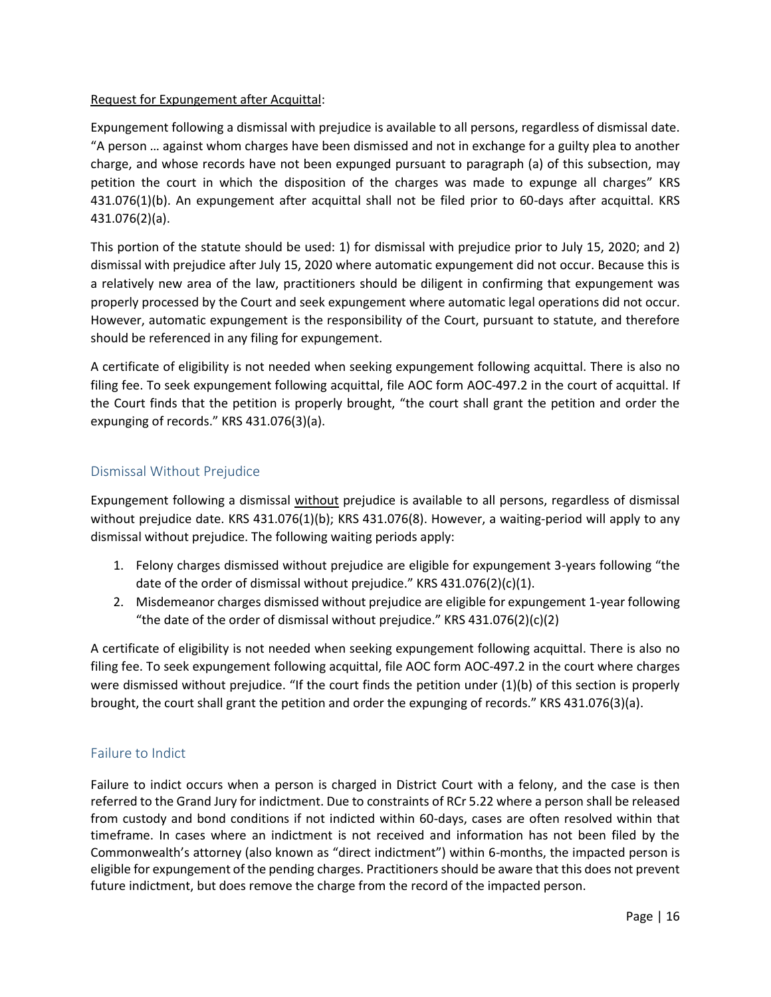#### Request for Expungement after Acquittal:

Expungement following a dismissal with prejudice is available to all persons, regardless of dismissal date. "A person … against whom charges have been dismissed and not in exchange for a guilty plea to another charge, and whose records have not been expunged pursuant to paragraph (a) of this subsection, may petition the court in which the disposition of the charges was made to expunge all charges" KRS 431.076(1)(b). An expungement after acquittal shall not be filed prior to 60-days after acquittal. KRS 431.076(2)(a).

This portion of the statute should be used: 1) for dismissal with prejudice prior to July 15, 2020; and 2) dismissal with prejudice after July 15, 2020 where automatic expungement did not occur. Because this is a relatively new area of the law, practitioners should be diligent in confirming that expungement was properly processed by the Court and seek expungement where automatic legal operations did not occur. However, automatic expungement is the responsibility of the Court, pursuant to statute, and therefore should be referenced in any filing for expungement.

A certificate of eligibility is not needed when seeking expungement following acquittal. There is also no filing fee. To seek expungement following acquittal, file AOC form AOC-497.2 in the court of acquittal. If the Court finds that the petition is properly brought, "the court shall grant the petition and order the expunging of records." KRS 431.076(3)(a).

### <span id="page-16-0"></span>Dismissal Without Prejudice

Expungement following a dismissal without prejudice is available to all persons, regardless of dismissal without prejudice date. KRS 431.076(1)(b); KRS 431.076(8). However, a waiting-period will apply to any dismissal without prejudice. The following waiting periods apply:

- 1. Felony charges dismissed without prejudice are eligible for expungement 3-years following "the date of the order of dismissal without prejudice." KRS 431.076(2)(c)(1).
- 2. Misdemeanor charges dismissed without prejudice are eligible for expungement 1-year following "the date of the order of dismissal without prejudice." KRS  $431.076(2)(c)(2)$

A certificate of eligibility is not needed when seeking expungement following acquittal. There is also no filing fee. To seek expungement following acquittal, file AOC form AOC-497.2 in the court where charges were dismissed without prejudice. "If the court finds the petition under (1)(b) of this section is properly brought, the court shall grant the petition and order the expunging of records." KRS 431.076(3)(a).

### <span id="page-16-1"></span>Failure to Indict

Failure to indict occurs when a person is charged in District Court with a felony, and the case is then referred to the Grand Jury for indictment. Due to constraints of RCr 5.22 where a person shall be released from custody and bond conditions if not indicted within 60-days, cases are often resolved within that timeframe. In cases where an indictment is not received and information has not been filed by the Commonwealth's attorney (also known as "direct indictment") within 6-months, the impacted person is eligible for expungement of the pending charges. Practitionersshould be aware that this does not prevent future indictment, but does remove the charge from the record of the impacted person.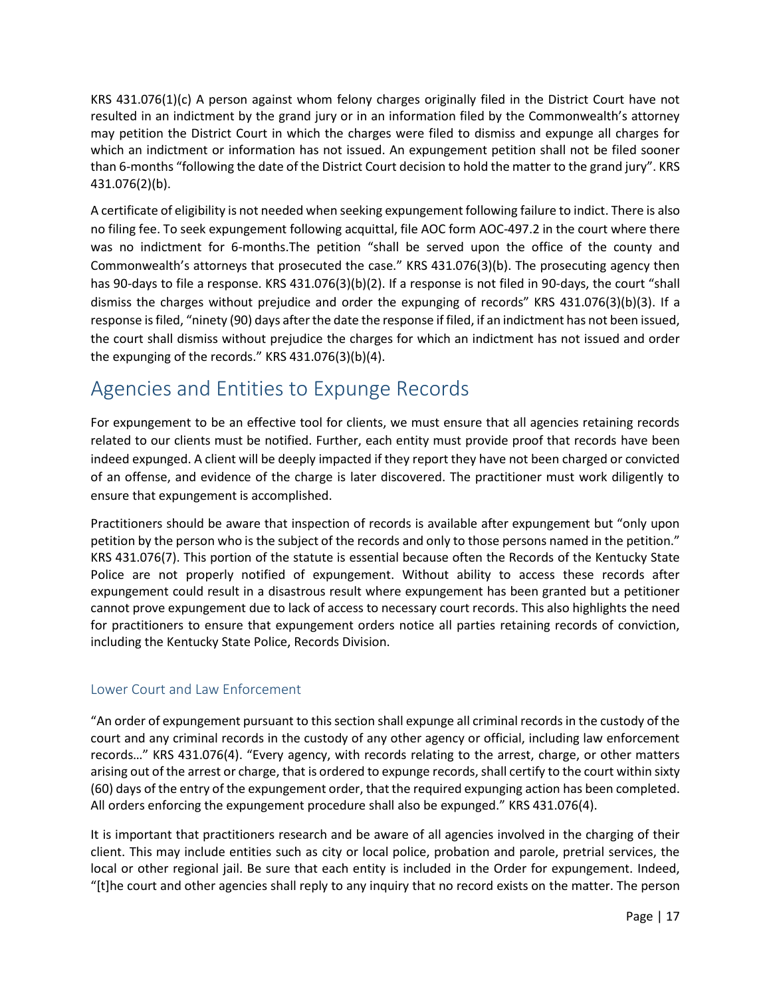KRS 431.076(1)(c) A person against whom felony charges originally filed in the District Court have not resulted in an indictment by the grand jury or in an information filed by the Commonwealth's attorney may petition the District Court in which the charges were filed to dismiss and expunge all charges for which an indictment or information has not issued. An expungement petition shall not be filed sooner than 6-months "following the date of the District Court decision to hold the matter to the grand jury". KRS 431.076(2)(b).

A certificate of eligibility is not needed when seeking expungement following failure to indict. There is also no filing fee. To seek expungement following acquittal, file AOC form AOC-497.2 in the court where there was no indictment for 6-months.The petition "shall be served upon the office of the county and Commonwealth's attorneys that prosecuted the case." KRS 431.076(3)(b). The prosecuting agency then has 90-days to file a response. KRS 431.076(3)(b)(2). If a response is not filed in 90-days, the court "shall dismiss the charges without prejudice and order the expunging of records" KRS 431.076(3)(b)(3). If a response is filed, "ninety (90) days after the date the response if filed, if an indictment has not been issued, the court shall dismiss without prejudice the charges for which an indictment has not issued and order the expunging of the records." KRS 431.076(3)(b)(4).

# <span id="page-17-0"></span>Agencies and Entities to Expunge Records

For expungement to be an effective tool for clients, we must ensure that all agencies retaining records related to our clients must be notified. Further, each entity must provide proof that records have been indeed expunged. A client will be deeply impacted if they report they have not been charged or convicted of an offense, and evidence of the charge is later discovered. The practitioner must work diligently to ensure that expungement is accomplished.

Practitioners should be aware that inspection of records is available after expungement but "only upon petition by the person who is the subject of the records and only to those persons named in the petition." KRS 431.076(7). This portion of the statute is essential because often the Records of the Kentucky State Police are not properly notified of expungement. Without ability to access these records after expungement could result in a disastrous result where expungement has been granted but a petitioner cannot prove expungement due to lack of access to necessary court records. This also highlights the need for practitioners to ensure that expungement orders notice all parties retaining records of conviction, including the Kentucky State Police, Records Division.

## <span id="page-17-1"></span>Lower Court and Law Enforcement

"An order of expungement pursuant to this section shall expunge all criminal records in the custody of the court and any criminal records in the custody of any other agency or official, including law enforcement records…" KRS 431.076(4). "Every agency, with records relating to the arrest, charge, or other matters arising out of the arrest or charge, that is ordered to expunge records, shall certify to the court within sixty (60) days of the entry of the expungement order, that the required expunging action has been completed. All orders enforcing the expungement procedure shall also be expunged." KRS 431.076(4).

It is important that practitioners research and be aware of all agencies involved in the charging of their client. This may include entities such as city or local police, probation and parole, pretrial services, the local or other regional jail. Be sure that each entity is included in the Order for expungement. Indeed, "[t]he court and other agencies shall reply to any inquiry that no record exists on the matter. The person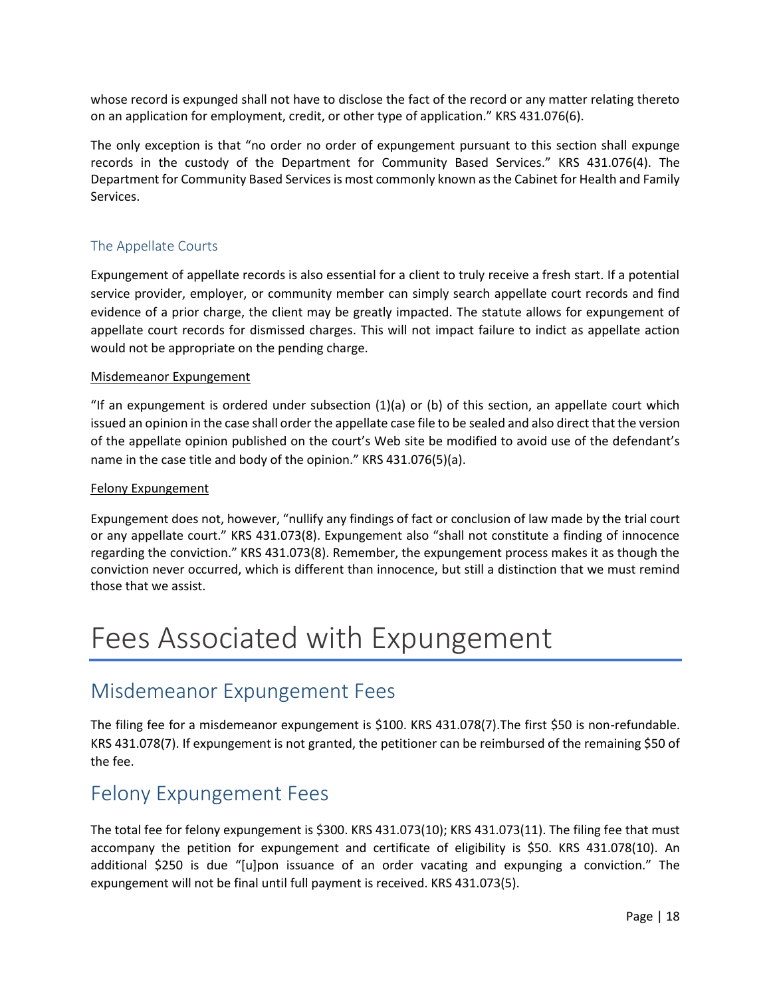whose record is expunged shall not have to disclose the fact of the record or any matter relating thereto on an application for employment, credit, or other type of application." KRS 431.076(6).

The only exception is that "no order no order of expungement pursuant to this section shall expunge records in the custody of the Department for Community Based Services." KRS 431.076(4). The Department for Community Based Services is most commonly known as the Cabinet for Health and Family Services.

### <span id="page-18-0"></span>The Appellate Courts

Expungement of appellate records is also essential for a client to truly receive a fresh start. If a potential service provider, employer, or community member can simply search appellate court records and find evidence of a prior charge, the client may be greatly impacted. The statute allows for expungement of appellate court records for dismissed charges. This will not impact failure to indict as appellate action would not be appropriate on the pending charge.

#### Misdemeanor Expungement

"If an expungement is ordered under subsection (1)(a) or (b) of this section, an appellate court which issued an opinion in the case shall order the appellate case file to be sealed and also direct that the version of the appellate opinion published on the court's Web site be modified to avoid use of the defendant's name in the case title and body of the opinion." KRS 431.076(5)(a).

#### Felony Expungement

Expungement does not, however, "nullify any findings of fact or conclusion of law made by the trial court or any appellate court." KRS 431.073(8). Expungement also "shall not constitute a finding of innocence regarding the conviction." KRS 431.073(8). Remember, the expungement process makes it as though the conviction never occurred, which is different than innocence, but still a distinction that we must remind those that we assist.

# <span id="page-18-1"></span>Fees Associated with Expungement

# <span id="page-18-2"></span>Misdemeanor Expungement Fees

The filing fee for a misdemeanor expungement is \$100. KRS 431.078(7).The first \$50 is non-refundable. KRS 431.078(7). If expungement is not granted, the petitioner can be reimbursed of the remaining \$50 of the fee.

# <span id="page-18-3"></span>Felony Expungement Fees

The total fee for felony expungement is \$300. KRS 431.073(10); KRS 431.073(11). The filing fee that must accompany the petition for expungement and certificate of eligibility is \$50. KRS 431.078(10). An additional \$250 is due "[u]pon issuance of an order vacating and expunging a conviction." The expungement will not be final until full payment is received. KRS 431.073(5).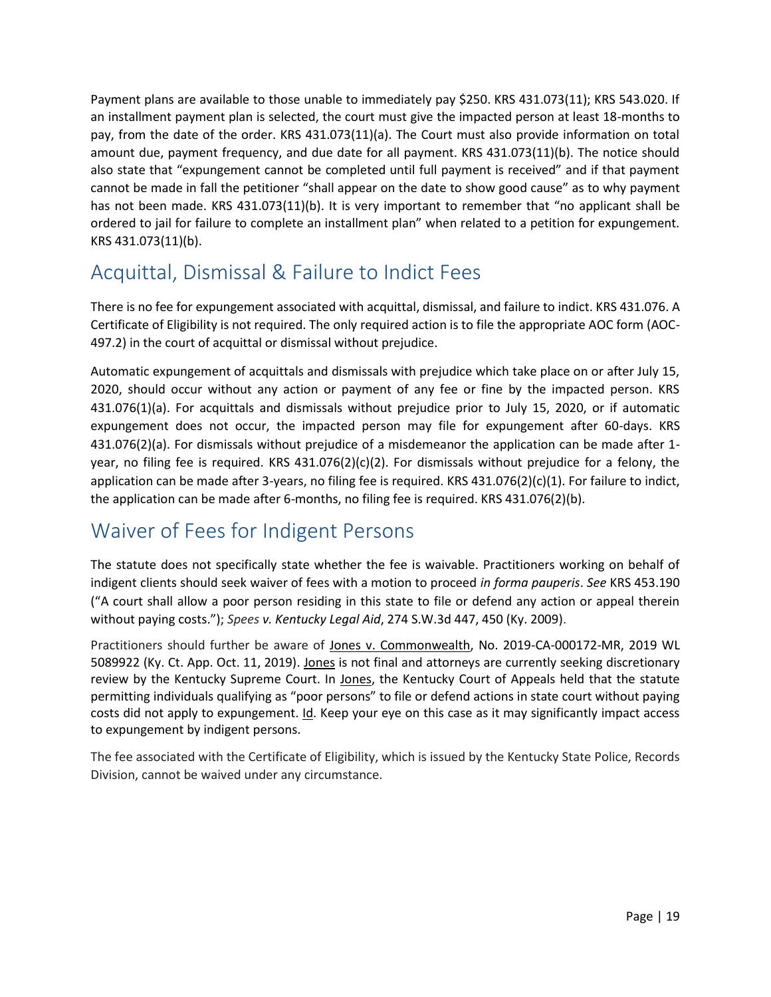Payment plans are available to those unable to immediately pay \$250. KRS 431.073(11); KRS 543.020. If an installment payment plan is selected, the court must give the impacted person at least 18-months to pay, from the date of the order. KRS 431.073(11)(a). The Court must also provide information on total amount due, payment frequency, and due date for all payment. KRS 431.073(11)(b). The notice should also state that "expungement cannot be completed until full payment is received" and if that payment cannot be made in fall the petitioner "shall appear on the date to show good cause" as to why payment has not been made. KRS 431.073(11)(b). It is very important to remember that "no applicant shall be ordered to jail for failure to complete an installment plan" when related to a petition for expungement. KRS 431.073(11)(b).

# <span id="page-19-0"></span>Acquittal, Dismissal & Failure to Indict Fees

There is no fee for expungement associated with acquittal, dismissal, and failure to indict. KRS 431.076. A Certificate of Eligibility is not required. The only required action is to file the appropriate AOC form (AOC-497.2) in the court of acquittal or dismissal without prejudice.

Automatic expungement of acquittals and dismissals with prejudice which take place on or after July 15, 2020, should occur without any action or payment of any fee or fine by the impacted person. KRS 431.076(1)(a). For acquittals and dismissals without prejudice prior to July 15, 2020, or if automatic expungement does not occur, the impacted person may file for expungement after 60-days. KRS 431.076(2)(a). For dismissals without prejudice of a misdemeanor the application can be made after 1 year, no filing fee is required. KRS 431.076(2)(c)(2). For dismissals without prejudice for a felony, the application can be made after 3-years, no filing fee is required. KRS 431.076(2)(c)(1). For failure to indict, the application can be made after 6-months, no filing fee is required. KRS 431.076(2)(b).

# <span id="page-19-1"></span>Waiver of Fees for Indigent Persons

The statute does not specifically state whether the fee is waivable. Practitioners working on behalf of indigent clients should seek waiver of fees with a motion to proceed *in forma pauperis*. *See* KRS 453.190 ("A court shall allow a poor person residing in this state to file or defend any action or appeal therein without paying costs."); *[Spees](https://1.next.westlaw.com/Link/Document/FullText?findType=Y&serNum=2017943923&pubNum=0004644&originatingDoc=Id9c79de0ec4411e9aa89c18bc663273c&refType=RP&fi=co_pp_sp_4644_450&originationContext=document&transitionType=DocumentItem&contextData=(sc.Search)#co_pp_sp_4644_450) v. Kentucky Legal Aid*, 274 S.W.3d 447, 450 (Ky. 2009).

Practitioners should further be aware of Jones v. Commonwealth, No. 2019-CA-000172-MR, 2019 WL 5089922 (Ky. Ct. App. Oct. 11, 2019). Jones is not final and attorneys are currently seeking discretionary review by the Kentucky Supreme Court. In Jones, the Kentucky Court of Appeals held that the statute permitting individuals qualifying as "poor persons" to file or defend actions in state court without paying costs did not apply to expungement. Id. Keep your eye on this case as it may significantly impact access to expungement by indigent persons.

The fee associated with the Certificate of Eligibility, which is issued by the Kentucky State Police, Records Division, cannot be waived under any circumstance.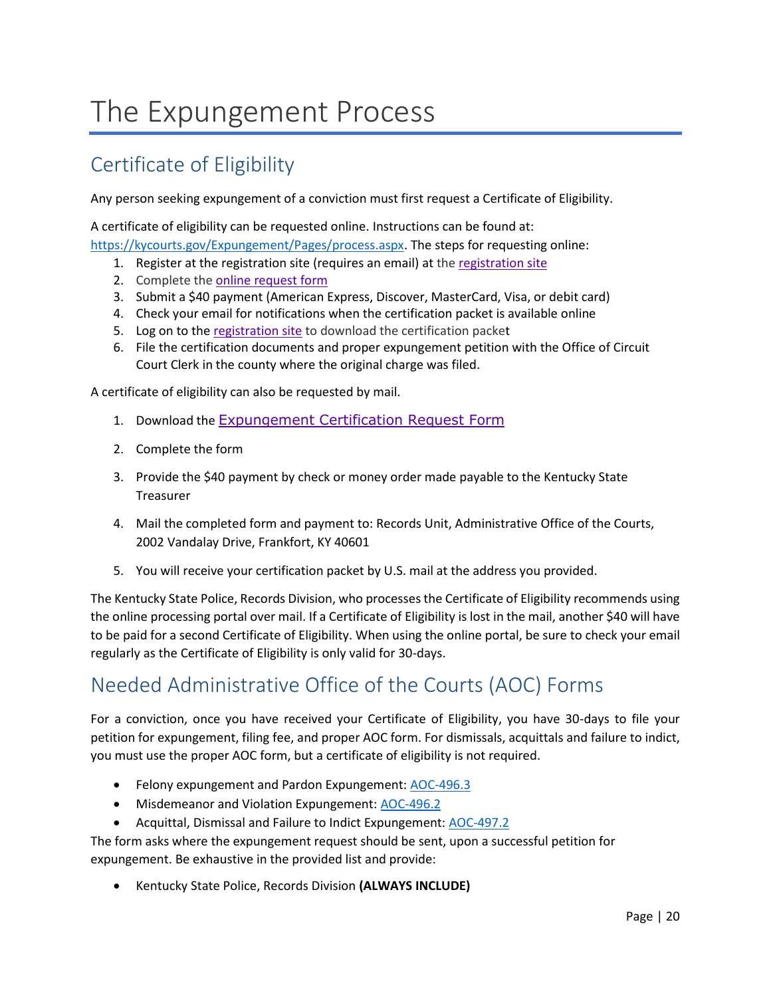# <span id="page-20-0"></span>The Expungement Process

# <span id="page-20-1"></span>Certificate of Eligibility

Any person seeking expungement of a conviction must first request a Certificate of Eligibility.

A certificate of eligibility can be requested online. Instructions can be found at:

- [https://kycourts.gov/Expungement/Pages/process.aspx.](https://kycourts.gov/Expungement/Pages/process.aspx) The steps for requesting online:
	- 1. Register at the registration site (requires an email) at the [registration site](https://kcoj.kycourts.net/RecordRequest)
	- 2. Complete the [online request form](https://kcoj.kycourts.net/RecordRequest)
	- 3. Submit a \$40 payment (American Express, Discover, MasterCard, Visa, or debit card)
	- 4. Check your email for notifications when the certification packet is available online
	- 5. Log on to th[e registration site](https://kcoj.kycourts.net/RecordRequest) to download the certification packet
	- 6. File the certification documents and proper expungement petition with the Office of Circuit Court Clerk in the county where the original charge was filed.

A certificate of eligibility can also be requested by mail.

- 1. Download the [Expungement Certification Request Form](https://kycourts.gov/resources/legalforms/LegalForms/RU009.pdf)
- 2. Complete the form
- 3. Provide the \$40 payment by check or money order made payable to the Kentucky State Treasurer
- 4. Mail the completed form and payment to: Records Unit, Administrative Office of the Courts, 2002 Vandalay Drive, Frankfort, KY 40601
- 5. You will receive your certification packet by U.S. mail at the address you provided.

The Kentucky State Police, Records Division, who processes the Certificate of Eligibility recommends using the online processing portal over mail. If a Certificate of Eligibility is lost in the mail, another \$40 will have to be paid for a second Certificate of Eligibility. When using the online portal, be sure to check your email regularly as the Certificate of Eligibility is only valid for 30-days.

# <span id="page-20-2"></span>Needed Administrative Office of the Courts (AOC) Forms

For a conviction, once you have received your Certificate of Eligibility, you have 30-days to file your petition for expungement, filing fee, and proper AOC form. For dismissals, acquittals and failure to indict, you must use the proper AOC form, but a certificate of eligibility is not required.

- Felony expungement and Pardon Expungement: [AOC-496.3](https://kycourts.gov/resources/legalforms/LegalForms/4963.pdf)
- Misdemeanor and Violation Expungement: [AOC-496.2](https://kycourts.gov/resources/legalforms/LegalForms/4962.pdf)
- Acquittal, Dismissal and Failure to Indict Expungement: [AOC-497.2](https://kycourts.gov/resources/legalforms/LegalForms/4972.pdf)

The form asks where the expungement request should be sent, upon a successful petition for expungement. Be exhaustive in the provided list and provide:

• Kentucky State Police, Records Division **(ALWAYS INCLUDE)**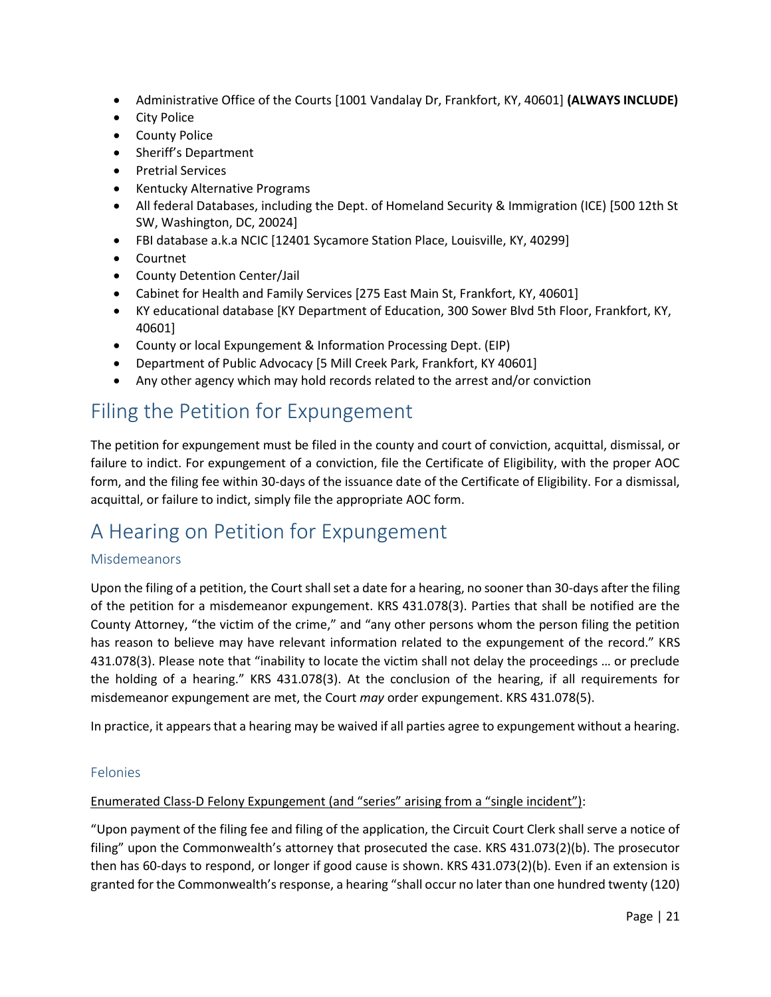- Administrative Office of the Courts [1001 Vandalay Dr, Frankfort, KY, 40601] **(ALWAYS INCLUDE)**
- City Police
- County Police
- Sheriff's Department
- Pretrial Services
- Kentucky Alternative Programs
- All federal Databases, including the Dept. of Homeland Security & Immigration (ICE) [500 12th St SW, Washington, DC, 20024]
- FBI database a.k.a NCIC [12401 Sycamore Station Place, Louisville, KY, 40299]
- Courtnet
- County Detention Center/Jail
- Cabinet for Health and Family Services [275 East Main St, Frankfort, KY, 40601]
- KY educational database [KY Department of Education, 300 Sower Blvd 5th Floor, Frankfort, KY, 40601]
- County or local Expungement & Information Processing Dept. (EIP)
- Department of Public Advocacy [5 Mill Creek Park, Frankfort, KY 40601]
- Any other agency which may hold records related to the arrest and/or conviction

# <span id="page-21-0"></span>Filing the Petition for Expungement

The petition for expungement must be filed in the county and court of conviction, acquittal, dismissal, or failure to indict. For expungement of a conviction, file the Certificate of Eligibility, with the proper AOC form, and the filing fee within 30-days of the issuance date of the Certificate of Eligibility. For a dismissal, acquittal, or failure to indict, simply file the appropriate AOC form.

# <span id="page-21-1"></span>A Hearing on Petition for Expungement

### <span id="page-21-2"></span>Misdemeanors

Upon the filing of a petition, the Court shall set a date for a hearing, no sooner than 30-days after the filing of the petition for a misdemeanor expungement. KRS 431.078(3). Parties that shall be notified are the County Attorney, "the victim of the crime," and "any other persons whom the person filing the petition has reason to believe may have relevant information related to the expungement of the record." KRS 431.078(3). Please note that "inability to locate the victim shall not delay the proceedings … or preclude the holding of a hearing." KRS 431.078(3). At the conclusion of the hearing, if all requirements for misdemeanor expungement are met, the Court *may* order expungement. KRS 431.078(5).

In practice, it appears that a hearing may be waived if all parties agree to expungement without a hearing.

### <span id="page-21-3"></span>Felonies

#### Enumerated Class-D Felony Expungement (and "series" arising from a "single incident"):

"Upon payment of the filing fee and filing of the application, the Circuit Court Clerk shall serve a notice of filing" upon the Commonwealth's attorney that prosecuted the case. KRS 431.073(2)(b). The prosecutor then has 60-days to respond, or longer if good cause is shown. KRS 431.073(2)(b). Even if an extension is granted for the Commonwealth's response, a hearing "shall occur no later than one hundred twenty (120)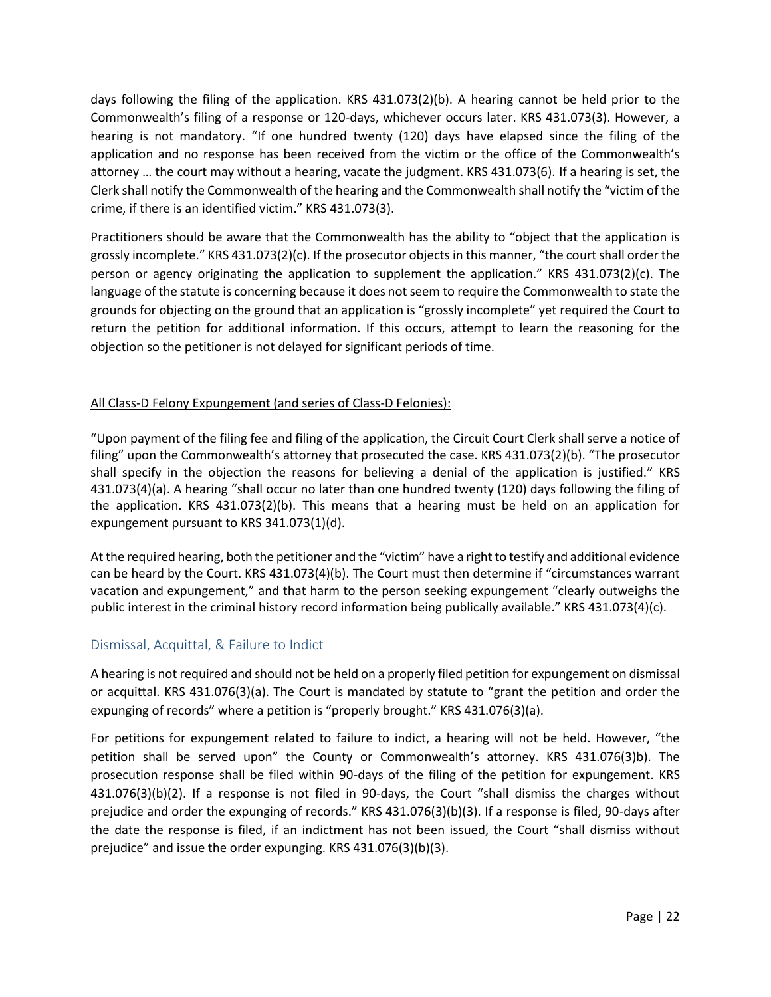days following the filing of the application. KRS 431.073(2)(b). A hearing cannot be held prior to the Commonwealth's filing of a response or 120-days, whichever occurs later. KRS 431.073(3). However, a hearing is not mandatory. "If one hundred twenty (120) days have elapsed since the filing of the application and no response has been received from the victim or the office of the Commonwealth's attorney … the court may without a hearing, vacate the judgment. KRS 431.073(6). If a hearing is set, the Clerk shall notify the Commonwealth of the hearing and the Commonwealth shall notify the "victim of the crime, if there is an identified victim." KRS 431.073(3).

Practitioners should be aware that the Commonwealth has the ability to "object that the application is grossly incomplete." KRS 431.073(2)(c). If the prosecutor objects in this manner, "the court shall order the person or agency originating the application to supplement the application." KRS 431.073(2)(c). The language of the statute is concerning because it does not seem to require the Commonwealth to state the grounds for objecting on the ground that an application is "grossly incomplete" yet required the Court to return the petition for additional information. If this occurs, attempt to learn the reasoning for the objection so the petitioner is not delayed for significant periods of time.

#### All Class-D Felony Expungement (and series of Class-D Felonies):

"Upon payment of the filing fee and filing of the application, the Circuit Court Clerk shall serve a notice of filing" upon the Commonwealth's attorney that prosecuted the case. KRS 431.073(2)(b). "The prosecutor shall specify in the objection the reasons for believing a denial of the application is justified." KRS 431.073(4)(a). A hearing "shall occur no later than one hundred twenty (120) days following the filing of the application. KRS 431.073(2)(b). This means that a hearing must be held on an application for expungement pursuant to KRS 341.073(1)(d).

At the required hearing, both the petitioner and the "victim" have a right to testify and additional evidence can be heard by the Court. KRS 431.073(4)(b). The Court must then determine if "circumstances warrant vacation and expungement," and that harm to the person seeking expungement "clearly outweighs the public interest in the criminal history record information being publically available." KRS 431.073(4)(c).

### <span id="page-22-0"></span>Dismissal, Acquittal, & Failure to Indict

A hearing is not required and should not be held on a properly filed petition for expungement on dismissal or acquittal. KRS 431.076(3)(a). The Court is mandated by statute to "grant the petition and order the expunging of records" where a petition is "properly brought." KRS 431.076(3)(a).

For petitions for expungement related to failure to indict, a hearing will not be held. However, "the petition shall be served upon" the County or Commonwealth's attorney. KRS 431.076(3)b). The prosecution response shall be filed within 90-days of the filing of the petition for expungement. KRS 431.076(3)(b)(2). If a response is not filed in 90-days, the Court "shall dismiss the charges without prejudice and order the expunging of records." KRS 431.076(3)(b)(3). If a response is filed, 90-days after the date the response is filed, if an indictment has not been issued, the Court "shall dismiss without prejudice" and issue the order expunging. KRS 431.076(3)(b)(3).